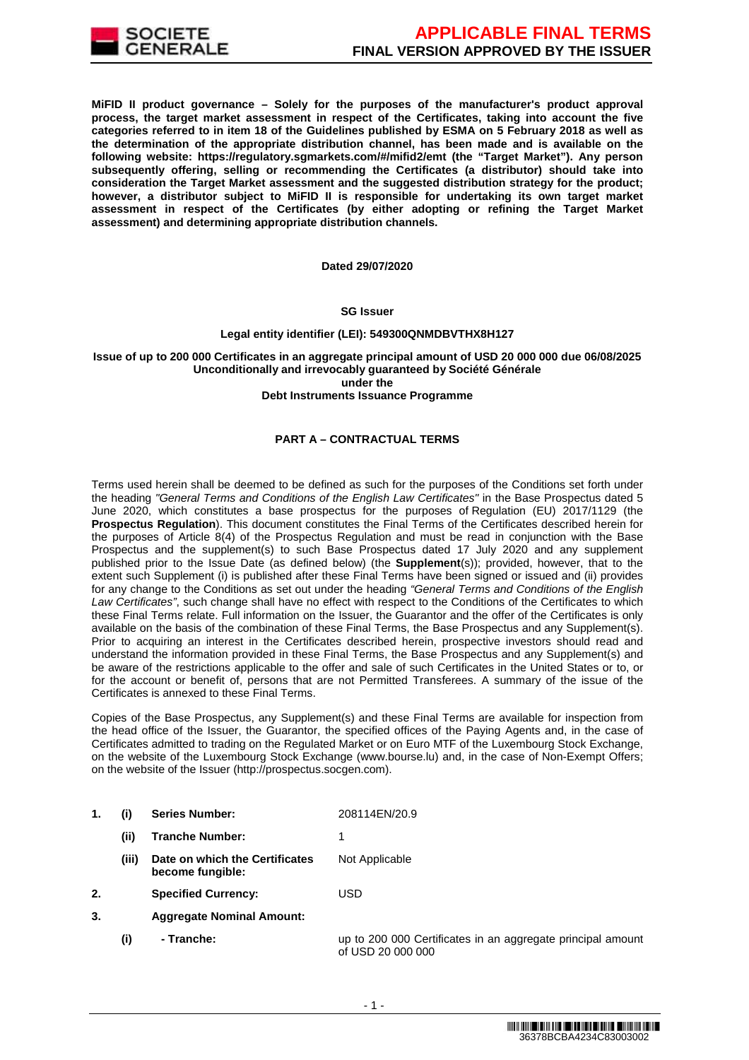

**MiFID II product governance – Solely for the purposes of the manufacturer's product approval process, the target market assessment in respect of the Certificates, taking into account the five categories referred to in item 18 of the Guidelines published by ESMA on 5 February 2018 as well as the determination of the appropriate distribution channel, has been made and is available on the following website: https://regulatory.sgmarkets.com/#/mifid2/emt (the "Target Market"). Any person subsequently offering, selling or recommending the Certificates (a distributor) should take into consideration the Target Market assessment and the suggested distribution strategy for the product; however, a distributor subject to MiFID II is responsible for undertaking its own target market assessment in respect of the Certificates (by either adopting or refining the Target Market assessment) and determining appropriate distribution channels.**

#### **Dated 29/07/2020**

#### **SG Issuer**

# **Legal entity identifier (LEI): 549300QNMDBVTHX8H127**

# **Issue of up to 200 000 Certificates in an aggregate principal amount of USD 20 000 000 due 06/08/2025 Unconditionally and irrevocably guaranteed by Société Générale under the**

#### **Debt Instruments Issuance Programme**

# **PART A – CONTRACTUAL TERMS**

Terms used herein shall be deemed to be defined as such for the purposes of the Conditions set forth under the heading "General Terms and Conditions of the English Law Certificates" in the Base Prospectus dated 5 June 2020, which constitutes a base prospectus for the purposes of Regulation (EU) 2017/1129 (the **Prospectus Regulation**). This document constitutes the Final Terms of the Certificates described herein for the purposes of Article 8(4) of the Prospectus Regulation and must be read in conjunction with the Base Prospectus and the supplement(s) to such Base Prospectus dated 17 July 2020 and any supplement published prior to the Issue Date (as defined below) (the **Supplement**(s)); provided, however, that to the extent such Supplement (i) is published after these Final Terms have been signed or issued and (ii) provides for any change to the Conditions as set out under the heading "General Terms and Conditions of the English Law Certificates", such change shall have no effect with respect to the Conditions of the Certificates to which these Final Terms relate. Full information on the Issuer, the Guarantor and the offer of the Certificates is only available on the basis of the combination of these Final Terms, the Base Prospectus and any Supplement(s). Prior to acquiring an interest in the Certificates described herein, prospective investors should read and understand the information provided in these Final Terms, the Base Prospectus and any Supplement(s) and be aware of the restrictions applicable to the offer and sale of such Certificates in the United States or to, or for the account or benefit of, persons that are not Permitted Transferees. A summary of the issue of the Certificates is annexed to these Final Terms.

Copies of the Base Prospectus, any Supplement(s) and these Final Terms are available for inspection from the head office of the Issuer, the Guarantor, the specified offices of the Paying Agents and, in the case of Certificates admitted to trading on the Regulated Market or on Euro MTF of the Luxembourg Stock Exchange, on the website of the Luxembourg Stock Exchange (www.bourse.lu) and, in the case of Non-Exempt Offers; on the website of the Issuer (http://prospectus.socgen.com).

- **1. (i) Series Number:** 208114EN/20.9
	- **(ii) Tranche Number:** 1
	- **(iii) Date on which the Certificates become fungible:** Not Applicable
- **2. Specified Currency:** USD
- **3. Aggregate Nominal Amount:**
	- **(i) Tranche:** up to 200 000 Certificates in an aggregate principal amount of USD 20 000 000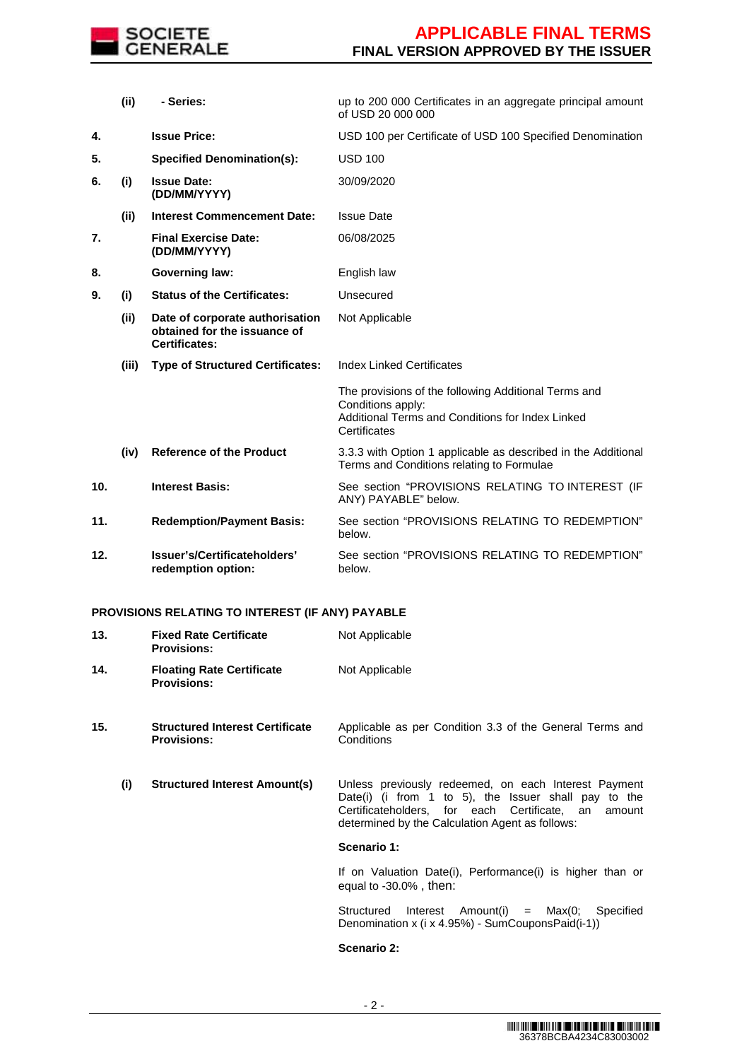

# **APPLICABLE FINAL TERMS FINAL VERSION APPROVED BY THE ISSUER**

|     | (ii)  | - Series:                                                                               | up to 200 000 Certificates in an aggregate principal amount<br>of USD 20 000 000                                                              |
|-----|-------|-----------------------------------------------------------------------------------------|-----------------------------------------------------------------------------------------------------------------------------------------------|
| 4.  |       | <b>Issue Price:</b>                                                                     | USD 100 per Certificate of USD 100 Specified Denomination                                                                                     |
| 5.  |       | <b>Specified Denomination(s):</b>                                                       | <b>USD 100</b>                                                                                                                                |
| 6.  | (i)   | <b>Issue Date:</b><br>(DD/MM/YYYY)                                                      | 30/09/2020                                                                                                                                    |
|     | (ii)  | <b>Interest Commencement Date:</b>                                                      | <b>Issue Date</b>                                                                                                                             |
| 7.  |       | <b>Final Exercise Date:</b><br>(DD/MM/YYYY)                                             | 06/08/2025                                                                                                                                    |
| 8.  |       | <b>Governing law:</b>                                                                   | English law                                                                                                                                   |
| 9.  | (i)   | <b>Status of the Certificates:</b>                                                      | Unsecured                                                                                                                                     |
|     | (ii)  | Date of corporate authorisation<br>obtained for the issuance of<br><b>Certificates:</b> | Not Applicable                                                                                                                                |
|     | (iii) | <b>Type of Structured Certificates:</b>                                                 | <b>Index Linked Certificates</b>                                                                                                              |
|     |       |                                                                                         | The provisions of the following Additional Terms and<br>Conditions apply:<br>Additional Terms and Conditions for Index Linked<br>Certificates |
|     | (iv)  | <b>Reference of the Product</b>                                                         | 3.3.3 with Option 1 applicable as described in the Additional<br>Terms and Conditions relating to Formulae                                    |
| 10. |       | <b>Interest Basis:</b>                                                                  | See section "PROVISIONS RELATING TO INTEREST (IF<br>ANY) PAYABLE" below.                                                                      |
| 11. |       | <b>Redemption/Payment Basis:</b>                                                        | See section "PROVISIONS RELATING TO REDEMPTION"<br>below.                                                                                     |
| 12. |       | Issuer's/Certificateholders'<br>redemption option:                                      | See section "PROVISIONS RELATING TO REDEMPTION"<br>below.                                                                                     |

# **PROVISIONS RELATING TO INTEREST (IF ANY) PAYABLE**

| 13. | <b>Fixed Rate Certificate</b><br><b>Provisions:</b>          | Not Applicable                                                                                                                                                                                                            |
|-----|--------------------------------------------------------------|---------------------------------------------------------------------------------------------------------------------------------------------------------------------------------------------------------------------------|
| 14. | <b>Floating Rate Certificate</b><br><b>Provisions:</b>       | Not Applicable                                                                                                                                                                                                            |
| 15. | <b>Structured Interest Certificate</b><br><b>Provisions:</b> | Applicable as per Condition 3.3 of the General Terms and<br>Conditions                                                                                                                                                    |
| (i) | <b>Structured Interest Amount(s)</b>                         | Unless previously redeemed, on each Interest Payment<br>Date(i) (i from 1 to 5), the Issuer shall pay to the<br>Certificateholders, for each Certificate, an<br>amount<br>determined by the Calculation Agent as follows: |
|     |                                                              | Scenario 1:                                                                                                                                                                                                               |
|     |                                                              | If on Valuation Date(i), Performance(i) is higher than or<br>equal to $-30.0\%$ , then:                                                                                                                                   |
|     |                                                              | Structured<br>$Interest$ Amount(i) = Max(0;<br>Specified<br>Denomination x (i x 4.95%) - SumCouponsPaid(i-1))                                                                                                             |
|     |                                                              | Scenario 2:                                                                                                                                                                                                               |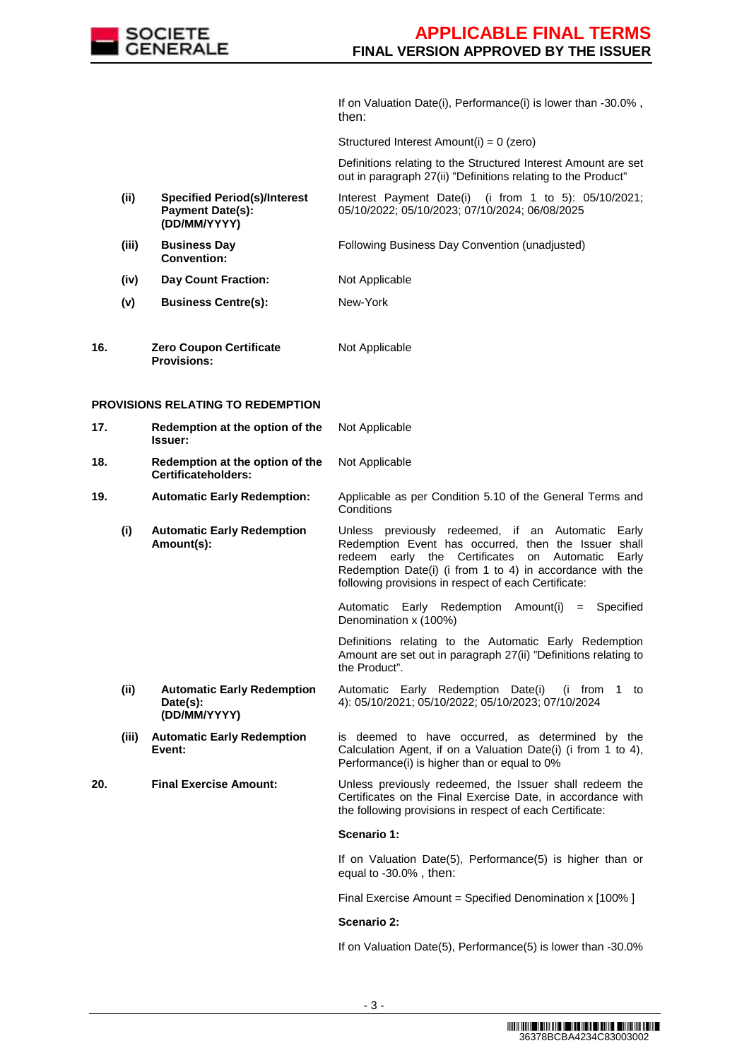

If on Valuation Date(i), Performance(i) is lower than -30.0% , then:

Structured Interest Amount(i) = 0 (zero)

 Definitions relating to the Structured Interest Amount are set out in paragraph 27(ii) "Definitions relating to the Product"

- **(ii) Specified Period(s)/Interest Payment Date(s): (DD/MM/YYYY)** Interest Payment Date(i) (i from 1 to 5): 05/10/2021; 05/10/2022; 05/10/2023; 07/10/2024; 06/08/2025
- **(iii) Business Day Convention:** Following Business Day Convention (unadjusted)
- **(iv) Day Count Fraction:** Not Applicable
- **(v) Business Centre(s):** New-York
- **16. Zero Coupon Certificate Provisions:** Not Applicable

#### **PROVISIONS RELATING TO REDEMPTION**

| 17. |       | Redemption at the option of the<br>Issuer:                    | Not Applicable                                                                                                                                                                                                                                                                                    |
|-----|-------|---------------------------------------------------------------|---------------------------------------------------------------------------------------------------------------------------------------------------------------------------------------------------------------------------------------------------------------------------------------------------|
| 18. |       | Redemption at the option of the<br>Certificateholders:        | Not Applicable                                                                                                                                                                                                                                                                                    |
| 19. |       | <b>Automatic Early Redemption:</b>                            | Applicable as per Condition 5.10 of the General Terms and<br>Conditions                                                                                                                                                                                                                           |
|     | (i)   | <b>Automatic Early Redemption</b><br>Amount(s):               | Unless previously redeemed, if an Automatic<br>Early<br>Redemption Event has occurred, then the Issuer shall<br>early the Certificates<br>redeem<br>on<br>Automatic<br>Early<br>Redemption Date(i) (i from 1 to 4) in accordance with the<br>following provisions in respect of each Certificate: |
|     |       |                                                               | Automatic Early Redemption Amount(i)<br>$=$ Specified<br>Denomination x (100%)                                                                                                                                                                                                                    |
|     |       |                                                               | Definitions relating to the Automatic Early Redemption<br>Amount are set out in paragraph 27(ii) "Definitions relating to<br>the Product".                                                                                                                                                        |
|     | (ii)  | <b>Automatic Early Redemption</b><br>Date(s):<br>(DD/MM/YYYY) | Automatic Early Redemption Date(i)<br>(i from 1)<br>to<br>4): 05/10/2021; 05/10/2022; 05/10/2023; 07/10/2024                                                                                                                                                                                      |
|     | (iii) | <b>Automatic Early Redemption</b>                             |                                                                                                                                                                                                                                                                                                   |
|     |       | Event:                                                        | is deemed to have occurred, as determined by the<br>Calculation Agent, if on a Valuation Date(i) (i from 1 to 4),<br>Performance(i) is higher than or equal to 0%                                                                                                                                 |
| 20. |       | <b>Final Exercise Amount:</b>                                 | Unless previously redeemed, the Issuer shall redeem the<br>Certificates on the Final Exercise Date, in accordance with<br>the following provisions in respect of each Certificate:                                                                                                                |
|     |       |                                                               | Scenario 1:                                                                                                                                                                                                                                                                                       |
|     |       |                                                               | If on Valuation Date(5), Performance(5) is higher than or<br>equal to -30.0%, then:                                                                                                                                                                                                               |
|     |       |                                                               | Final Exercise Amount = Specified Denomination x [100% ]                                                                                                                                                                                                                                          |

If on Valuation Date(5), Performance(5) is lower than -30.0%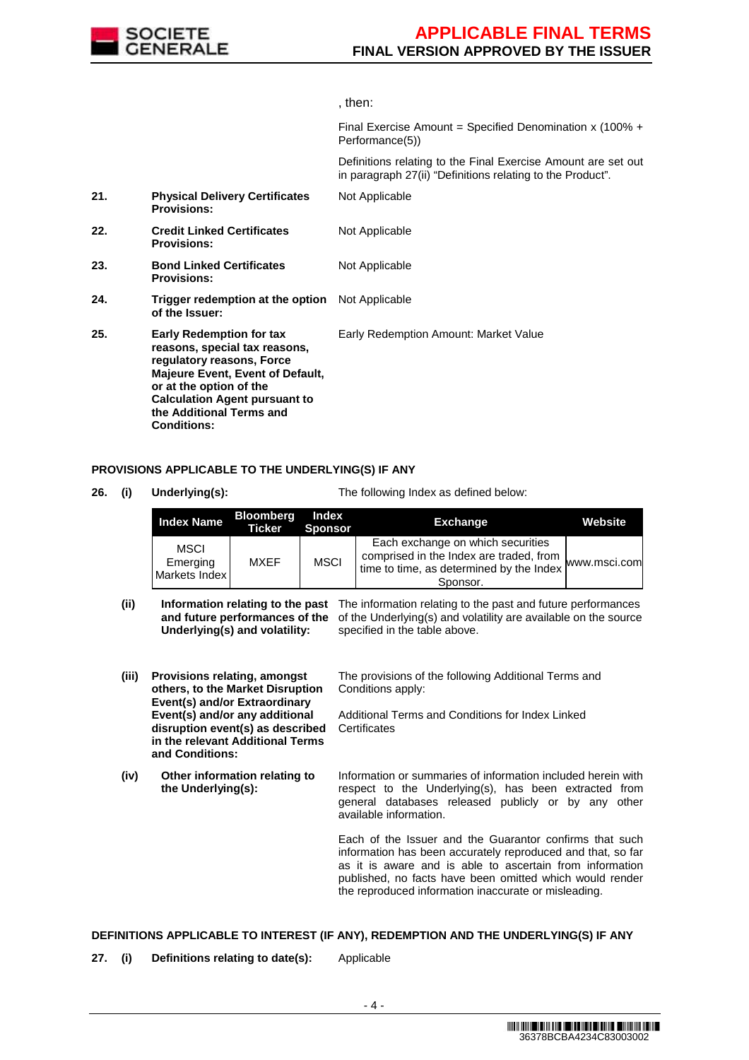

#### , then:

Final Exercise Amount = Specified Denomination x (100% + Performance(5))

 Definitions relating to the Final Exercise Amount are set out in paragraph 27(ii) "Definitions relating to the Product".

| 21. | <b>Physical Delivery Certificates</b><br><b>Provisions:</b>                                                                                                                                                                                            | Not Applicable                        |
|-----|--------------------------------------------------------------------------------------------------------------------------------------------------------------------------------------------------------------------------------------------------------|---------------------------------------|
| 22. | <b>Credit Linked Certificates</b><br><b>Provisions:</b>                                                                                                                                                                                                | Not Applicable                        |
| 23. | <b>Bond Linked Certificates</b><br><b>Provisions:</b>                                                                                                                                                                                                  | Not Applicable                        |
| 24. | <b>Trigger redemption at the option</b> Not Applicable<br>of the Issuer:                                                                                                                                                                               |                                       |
| 25. | <b>Early Redemption for tax</b><br>reasons, special tax reasons,<br>regulatory reasons, Force<br><b>Majeure Event, Event of Default,</b><br>or at the option of the<br><b>Calculation Agent pursuant to</b><br>the Additional Terms and<br>Conditions: | Early Redemption Amount: Market Value |

#### **PROVISIONS APPLICABLE TO THE UNDERLYING(S) IF ANY**

**26. (i) Underlying(s):** The following Index as defined below:

| <b>Index Name</b>                        | <b>Bloomberg</b><br><b>Ticker</b> | Index<br><b>Sponsor</b> | <b>Exchange</b>                                                                                                                                     | Website |
|------------------------------------------|-----------------------------------|-------------------------|-----------------------------------------------------------------------------------------------------------------------------------------------------|---------|
| <b>MSCI</b><br>Emerging<br>Markets Index | MXEF                              | <b>MSCI</b>             | Each exchange on which securities<br>comprised in the Index are traded, from<br>I time to time, as determined by the Index MWW.msci.com<br>Sponsor. |         |

- (ii) **Information relating to the past** The information relating to the past and future performances and future performances of the of the Underlying(s) and volatility are available on the source **Underlying(s) and volatility:** specified in the table above.
- **(iii) Provisions relating, amongst others, to the Market Disruption Event(s) and/or Extraordinary Event(s) and/or any additional disruption event(s) as described in the relevant Additional Terms and Conditions:** The provisions of the following Additional Terms and Conditions apply: Additional Terms and Conditions for Index Linked **Certificates (iv) Other information relating to the Underlying(s):** Information or summaries of information included herein with respect to the Underlying(s), has been extracted from general databases released publicly or by any other available information. Each of the Issuer and the Guarantor confirms that such

information has been accurately reproduced and that, so far as it is aware and is able to ascertain from information published, no facts have been omitted which would render the reproduced information inaccurate or misleading.

#### **DEFINITIONS APPLICABLE TO INTEREST (IF ANY), REDEMPTION AND THE UNDERLYING(S) IF ANY**

**27. (i) Definitions relating to date(s):** Applicable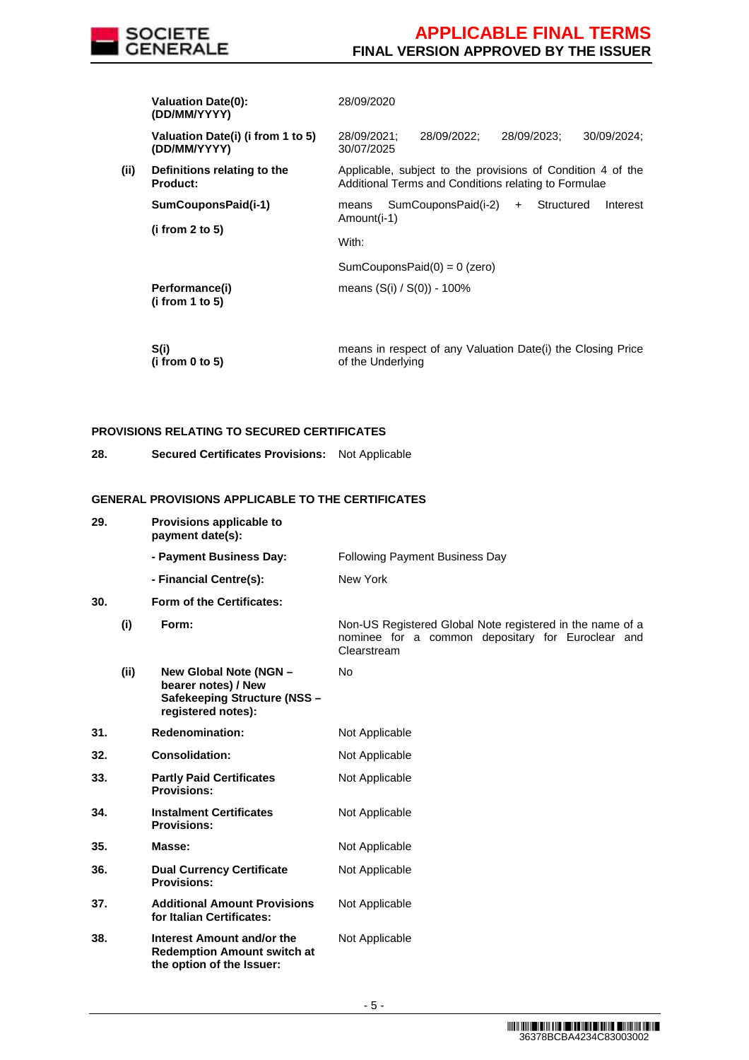

|      | <b>Valuation Date(0):</b><br>(DD/MM/YYYY)         | 28/09/2020                                                                                                          |
|------|---------------------------------------------------|---------------------------------------------------------------------------------------------------------------------|
|      | Valuation Date(i) (i from 1 to 5)<br>(DD/MM/YYYY) | 28/09/2022:<br>28/09/2023:<br>28/09/2021:<br>30/09/2024:<br>30/07/2025                                              |
| (ii) | Definitions relating to the<br><b>Product:</b>    | Applicable, subject to the provisions of Condition 4 of the<br>Additional Terms and Conditions relating to Formulae |
|      | SumCouponsPaid(i-1)<br>(i from 2 to 5)            | SumCouponsPaid(i-2)<br>Structured<br>Interest<br>$+$<br>means<br>Amount(i-1)                                        |
|      |                                                   | With:                                                                                                               |
|      |                                                   | SumCouponsPaid $(0) = 0$ (zero)                                                                                     |
|      | Performance(i)<br>(i from 1 to 5)                 | means $(S(i) / S(0)) - 100\%$                                                                                       |
|      |                                                   |                                                                                                                     |

 **S(i) (i from 0 to 5)**  means in respect of any Valuation Date(i) the Closing Price of the Underlying

#### **PROVISIONS RELATING TO SECURED CERTIFICATES**

**28. Secured Certificates Provisions:** Not Applicable

# **GENERAL PROVISIONS APPLICABLE TO THE CERTIFICATES**

| 29.  | Provisions applicable to<br>payment date(s):                                                        |                                                                                                                               |
|------|-----------------------------------------------------------------------------------------------------|-------------------------------------------------------------------------------------------------------------------------------|
|      | - Payment Business Day:                                                                             | <b>Following Payment Business Day</b>                                                                                         |
|      | - Financial Centre(s):                                                                              | New York                                                                                                                      |
| 30.  | Form of the Certificates:                                                                           |                                                                                                                               |
| (i)  | Form:                                                                                               | Non-US Registered Global Note registered in the name of a<br>nominee for a common depositary for Euroclear and<br>Clearstream |
| (ii) | New Global Note (NGN -<br>bearer notes) / New<br>Safekeeping Structure (NSS -<br>registered notes): | <b>No</b>                                                                                                                     |
| 31.  | <b>Redenomination:</b>                                                                              | Not Applicable                                                                                                                |
| 32.  | <b>Consolidation:</b>                                                                               | Not Applicable                                                                                                                |
| 33.  | <b>Partly Paid Certificates</b><br><b>Provisions:</b>                                               | Not Applicable                                                                                                                |
| 34.  | <b>Instalment Certificates</b><br><b>Provisions:</b>                                                | Not Applicable                                                                                                                |
| 35.  | Masse:                                                                                              | Not Applicable                                                                                                                |
| 36.  | <b>Dual Currency Certificate</b><br><b>Provisions:</b>                                              | Not Applicable                                                                                                                |
| 37.  | <b>Additional Amount Provisions</b><br>for Italian Certificates:                                    | Not Applicable                                                                                                                |
| 38.  | Interest Amount and/or the<br><b>Redemption Amount switch at</b><br>the option of the Issuer:       | Not Applicable                                                                                                                |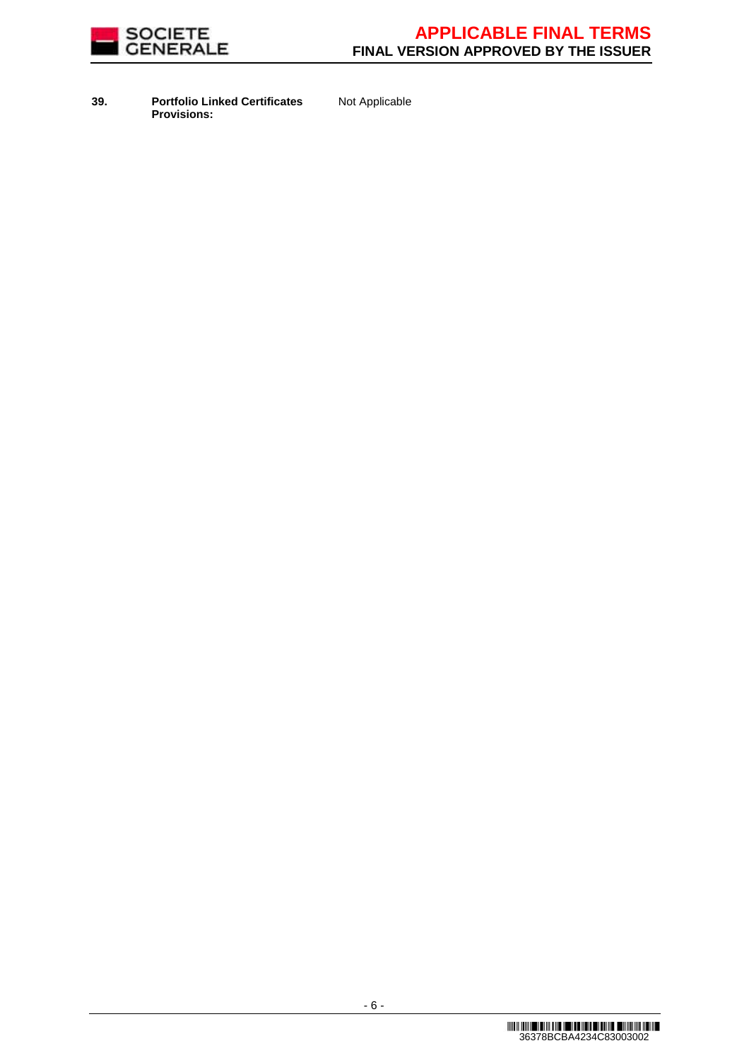

**39. Portfolio Linked Certificates Provisions:**

Not Applicable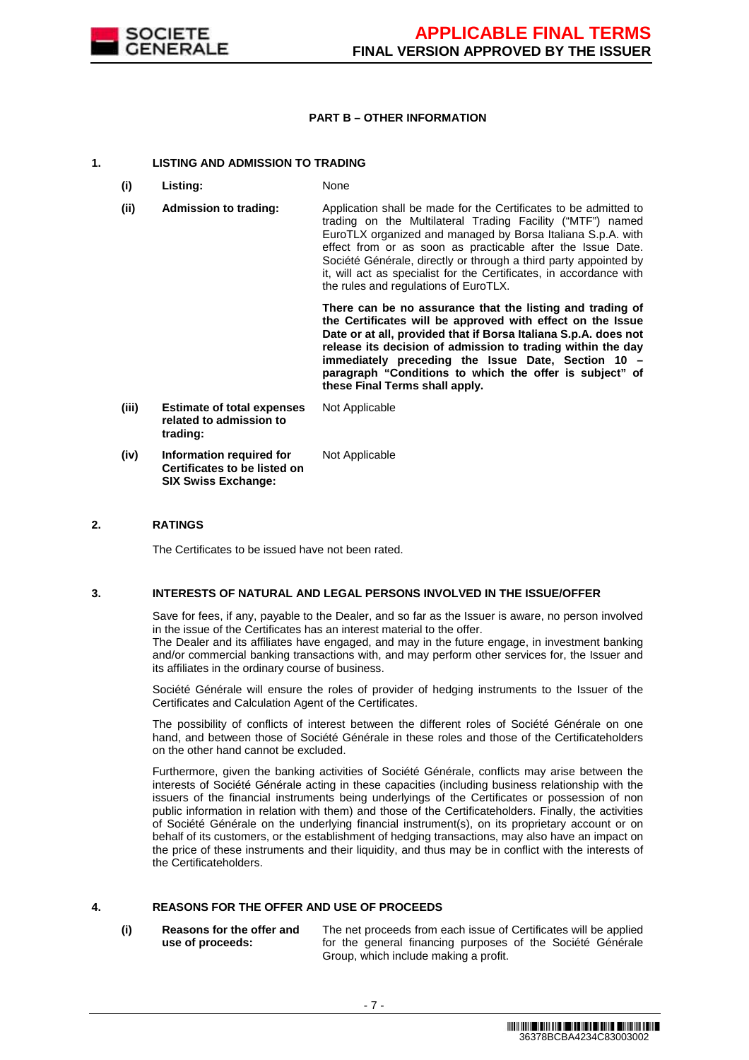

#### **PART B – OTHER INFORMATION**

#### **1. LISTING AND ADMISSION TO TRADING**

- **(i) Listing:** None
- **(ii) Admission to trading:** Application shall be made for the Certificates to be admitted to trading on the Multilateral Trading Facility ("MTF") named EuroTLX organized and managed by Borsa Italiana S.p.A. with effect from or as soon as practicable after the Issue Date. Société Générale, directly or through a third party appointed by it, will act as specialist for the Certificates, in accordance with the rules and regulations of EuroTLX.

 **There can be no assurance that the listing and trading of the Certificates will be approved with effect on the Issue Date or at all, provided that if Borsa Italiana S.p.A. does not release its decision of admission to trading within the day immediately preceding the Issue Date, Section 10 – paragraph "Conditions to which the offer is subject" of these Final Terms shall apply.**

**(iii) Estimate of total expenses related to admission to trading:** Not Applicable **(iv) Information required for Certificates to be listed on**  Not Applicable

**SIX Swiss Exchange:**

#### **2. RATINGS**

The Certificates to be issued have not been rated.

#### **3. INTERESTS OF NATURAL AND LEGAL PERSONS INVOLVED IN THE ISSUE/OFFER**

 Save for fees, if any, payable to the Dealer, and so far as the Issuer is aware, no person involved in the issue of the Certificates has an interest material to the offer.

The Dealer and its affiliates have engaged, and may in the future engage, in investment banking and/or commercial banking transactions with, and may perform other services for, the Issuer and its affiliates in the ordinary course of business.

 Société Générale will ensure the roles of provider of hedging instruments to the Issuer of the Certificates and Calculation Agent of the Certificates.

 The possibility of conflicts of interest between the different roles of Société Générale on one hand, and between those of Société Générale in these roles and those of the Certificateholders on the other hand cannot be excluded.

 Furthermore, given the banking activities of Société Générale, conflicts may arise between the interests of Société Générale acting in these capacities (including business relationship with the issuers of the financial instruments being underlyings of the Certificates or possession of non public information in relation with them) and those of the Certificateholders. Finally, the activities of Société Générale on the underlying financial instrument(s), on its proprietary account or on behalf of its customers, or the establishment of hedging transactions, may also have an impact on the price of these instruments and their liquidity, and thus may be in conflict with the interests of the Certificateholders.

# **4. REASONS FOR THE OFFER AND USE OF PROCEEDS**

**(i) Reasons for the offer and use of proceeds:**

The net proceeds from each issue of Certificates will be applied for the general financing purposes of the Société Générale Group, which include making a profit.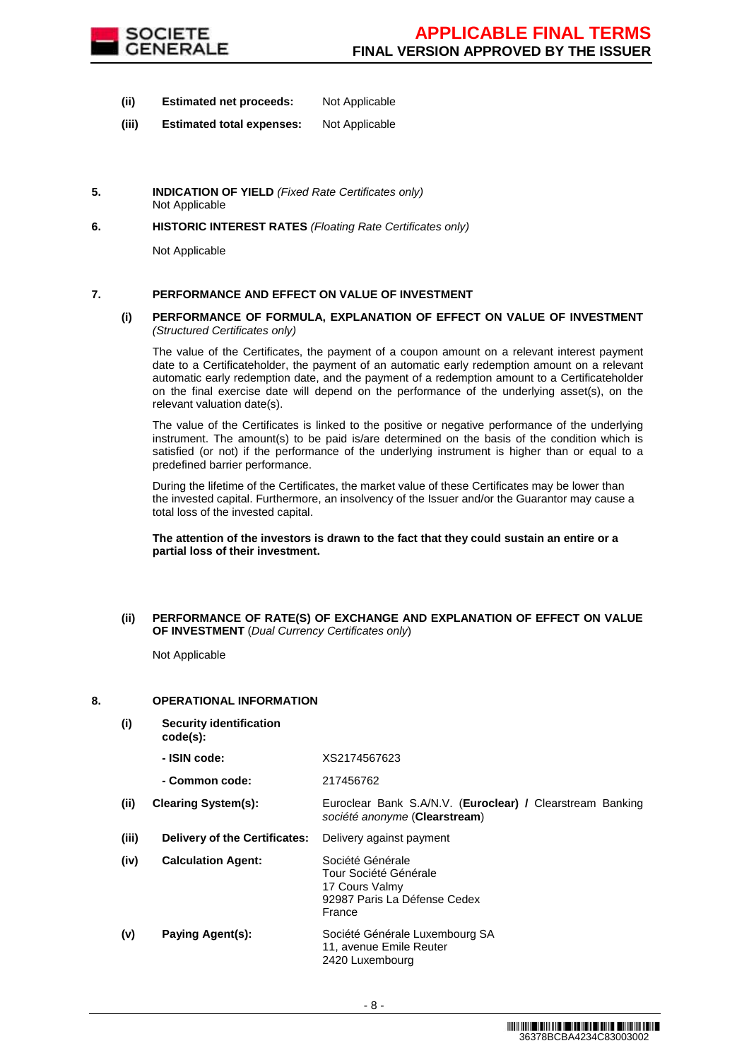

- **(ii) Estimated net proceeds:** Not Applicable
- **(iii) Estimated total expenses:** Not Applicable
- **5. INDICATION OF YIELD** (Fixed Rate Certificates only) Not Applicable
- **6. HISTORIC INTEREST RATES** (Floating Rate Certificates only)

Not Applicable

# **7. PERFORMANCE AND EFFECT ON VALUE OF INVESTMENT**

#### **(i) PERFORMANCE OF FORMULA, EXPLANATION OF EFFECT ON VALUE OF INVESTMENT**  (Structured Certificates only)

 The value of the Certificates, the payment of a coupon amount on a relevant interest payment date to a Certificateholder, the payment of an automatic early redemption amount on a relevant automatic early redemption date, and the payment of a redemption amount to a Certificateholder on the final exercise date will depend on the performance of the underlying asset(s), on the relevant valuation date(s).

 The value of the Certificates is linked to the positive or negative performance of the underlying instrument. The amount(s) to be paid is/are determined on the basis of the condition which is satisfied (or not) if the performance of the underlying instrument is higher than or equal to a predefined barrier performance.

 During the lifetime of the Certificates, the market value of these Certificates may be lower than the invested capital. Furthermore, an insolvency of the Issuer and/or the Guarantor may cause a total loss of the invested capital.

#### **The attention of the investors is drawn to the fact that they could sustain an entire or a partial loss of their investment.**

#### **(ii) PERFORMANCE OF RATE(S) OF EXCHANGE AND EXPLANATION OF EFFECT ON VALUE OF INVESTMENT** (Dual Currency Certificates only)

Not Applicable

# **8. OPERATIONAL INFORMATION**

**(i) Security identification code(s): - ISIN code:** XS2174567623 **- Common code:** 217456762 **(ii) Clearing System(s):** Euroclear Bank S.A/N.V. (**Euroclear) /** Clearstream Banking société anonyme (**Clearstream**) **(iii) Delivery of the Certificates:** Delivery against payment **(iv) Calculation Agent:** Société Générale Tour Société Générale 17 Cours Valmy 92987 Paris La Défense Cedex France **(v) Paying Agent(s):** Société Générale Luxembourg SA 11, avenue Emile Reuter 2420 Luxembourg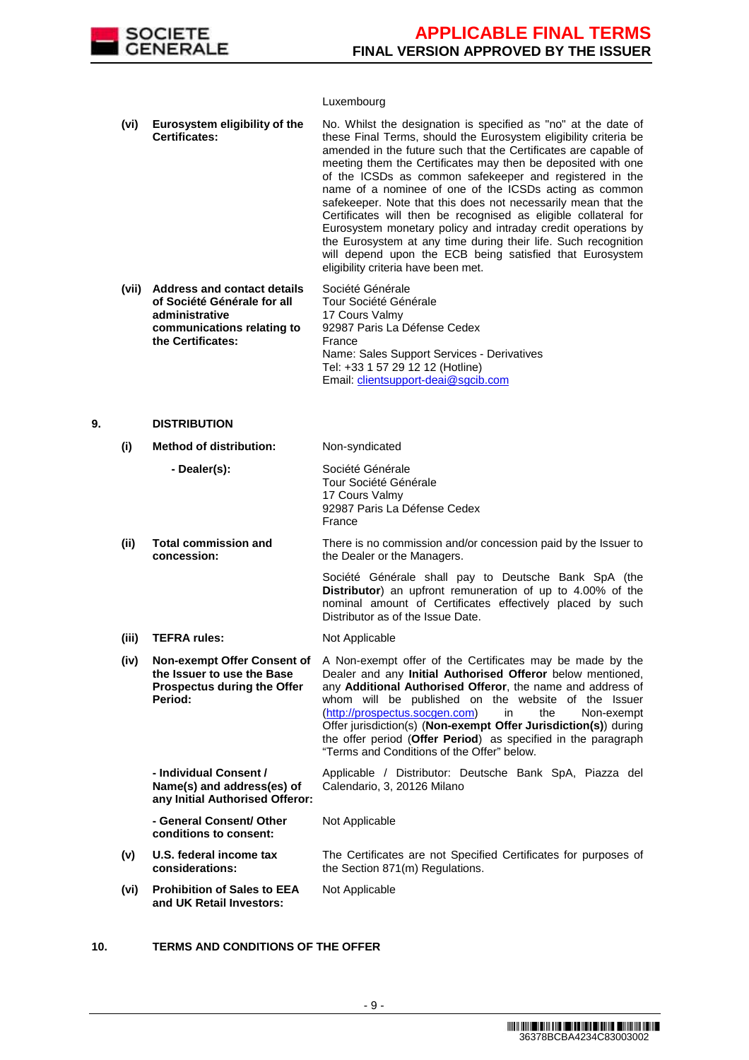

#### Luxembourg

| (vi) | Eurosystem eligibility of the<br><b>Certificates:</b> | No. Whilst the designation is specified as "no" at the date of<br>these Final Terms, should the Eurosystem eligibility criteria be<br>amended in the future such that the Certificates are capable of<br>meeting them the Certificates may then be deposited with one<br>of the ICSDs as common safekeeper and registered in the<br>name of a nominee of one of the ICSDs acting as common<br>safekeeper. Note that this does not necessarily mean that the<br>Certificates will then be recognised as eligible collateral for<br>Eurosystem monetary policy and intraday credit operations by<br>the Eurosystem at any time during their life. Such recognition<br>will depend upon the ECB being satisfied that Eurosystem<br>eligibility criteria have been met. |
|------|-------------------------------------------------------|---------------------------------------------------------------------------------------------------------------------------------------------------------------------------------------------------------------------------------------------------------------------------------------------------------------------------------------------------------------------------------------------------------------------------------------------------------------------------------------------------------------------------------------------------------------------------------------------------------------------------------------------------------------------------------------------------------------------------------------------------------------------|
|------|-------------------------------------------------------|---------------------------------------------------------------------------------------------------------------------------------------------------------------------------------------------------------------------------------------------------------------------------------------------------------------------------------------------------------------------------------------------------------------------------------------------------------------------------------------------------------------------------------------------------------------------------------------------------------------------------------------------------------------------------------------------------------------------------------------------------------------------|

| (vii) | <b>Address and contact details</b> | Société Générale                           |
|-------|------------------------------------|--------------------------------------------|
|       | of Société Générale for all        | Tour Société Générale                      |
|       | administrative                     | 17 Cours Valmy                             |
|       | communications relating to         | 92987 Paris La Défense Cedex               |
|       | the Certificates:                  | France                                     |
|       |                                    | Name: Sales Support Services - Derivatives |
|       |                                    | Tel: +33 1 57 29 12 12 (Hotline)           |
|       |                                    | Email: clientsupport-deai@sgcib.com        |

#### **9. DISTRIBUTION**

#### **(i) Method of distribution:** Non-syndicated **- Dealer(s):** Société Générale Tour Société Générale 17 Cours Valmy 92987 Paris La Défense Cedex France **(ii) Total commission and concession:** There is no commission and/or concession paid by the Issuer to the Dealer or the Managers. Société Générale shall pay to Deutsche Bank SpA (the **Distributor**) an upfront remuneration of up to 4.00% of the nominal amount of Certificates effectively placed by such Distributor as of the Issue Date. **(iii) TEFRA rules:** Not Applicable **(iv) Non-exempt Offer Consent of the Issuer to use the Base Prospectus during the Offer Period:** A Non-exempt offer of the Certificates may be made by the Dealer and any **Initial Authorised Offeror** below mentioned, any **Additional Authorised Offeror**, the name and address of whom will be published on the website of the Issuer (http://prospectus.socgen.com) in the Non-exempt Offer jurisdiction(s) (**Non-exempt Offer Jurisdiction(s)**) during the offer period (**Offer Period**) as specified in the paragraph "Terms and Conditions of the Offer" below. **- Individual Consent / Name(s) and address(es) of any Initial Authorised Offeror:** Applicable / Distributor: Deutsche Bank SpA, Piazza del Calendario, 3, 20126 Milano **- General Consent/ Other conditions to consent:** Not Applicable **(v) U.S. federal income tax considerations:** The Certificates are not Specified Certificates for purposes of the Section 871(m) Regulations. **(vi) Prohibition of Sales to EEA and UK Retail Investors:** Not Applicable

#### **10. TERMS AND CONDITIONS OF THE OFFER**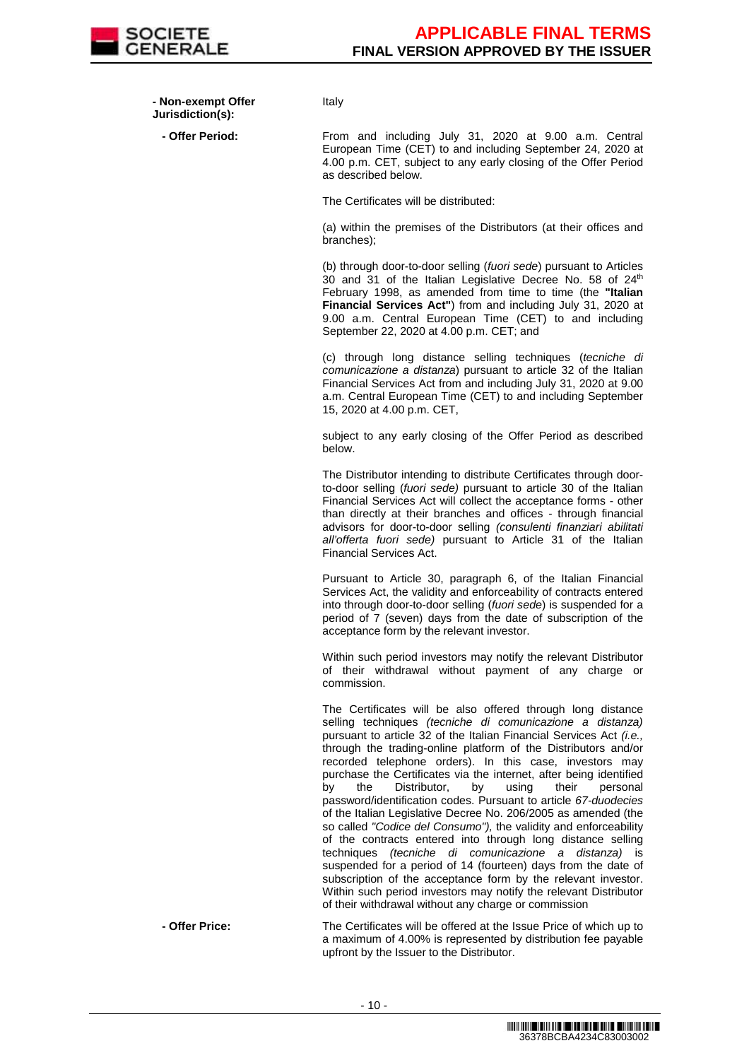

 **- Non-exempt Offer Jurisdiction(s):**

Italy

 **- Offer Period:** From and including July 31, 2020 at 9.00 a.m. Central European Time (CET) to and including September 24, 2020 at 4.00 p.m. CET, subject to any early closing of the Offer Period as described below.

The Certificates will be distributed:

(a) within the premises of the Distributors (at their offices and branches);

(b) through door-to-door selling (fuori sede) pursuant to Articles 30 and 31 of the Italian Legislative Decree No. 58 of 24<sup>th</sup> February 1998, as amended from time to time (the **"Italian Financial Services Act"**) from and including July 31, 2020 at 9.00 a.m. Central European Time (CET) to and including September 22, 2020 at 4.00 p.m. CET; and

(c) through long distance selling techniques (tecniche di comunicazione a distanza) pursuant to article 32 of the Italian Financial Services Act from and including July 31, 2020 at 9.00 a.m. Central European Time (CET) to and including September 15, 2020 at 4.00 p.m. CET,

subject to any early closing of the Offer Period as described below.

The Distributor intending to distribute Certificates through doorto-door selling (fuori sede) pursuant to article 30 of the Italian Financial Services Act will collect the acceptance forms - other than directly at their branches and offices - through financial advisors for door-to-door selling (consulenti finanziari abilitati all'offerta fuori sede) pursuant to Article 31 of the Italian Financial Services Act.

Pursuant to Article 30, paragraph 6, of the Italian Financial Services Act, the validity and enforceability of contracts entered into through door-to-door selling (fuori sede) is suspended for a period of 7 (seven) days from the date of subscription of the acceptance form by the relevant investor.

Within such period investors may notify the relevant Distributor of their withdrawal without payment of any charge or commission.

The Certificates will be also offered through long distance selling techniques (tecniche di comunicazione a distanza) pursuant to article 32 of the Italian Financial Services Act (i.e., through the trading-online platform of the Distributors and/or recorded telephone orders). In this case, investors may purchase the Certificates via the internet, after being identified by the Distributor, by using their personal password/identification codes. Pursuant to article 67-duodecies of the Italian Legislative Decree No. 206/2005 as amended (the so called "Codice del Consumo"), the validity and enforceability of the contracts entered into through long distance selling techniques *(tecniche di comunicazione a distanza)* is suspended for a period of 14 (fourteen) days from the date of subscription of the acceptance form by the relevant investor. Within such period investors may notify the relevant Distributor of their withdrawal without any charge or commission

 **- Offer Price:** The Certificates will be offered at the Issue Price of which up to a maximum of 4.00% is represented by distribution fee payable upfront by the Issuer to the Distributor.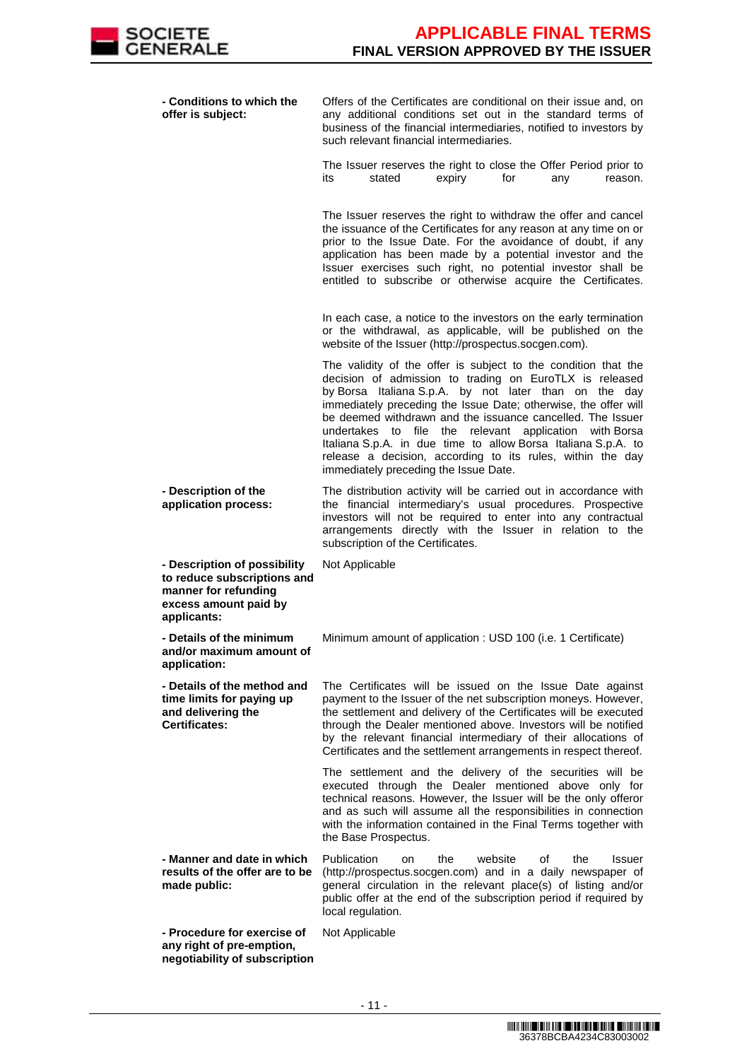| - Conditions to which the<br>offer is subject:                                                                              | Offers of the Certificates are conditional on their issue and, on<br>any additional conditions set out in the standard terms of<br>business of the financial intermediaries, notified to investors by<br>such relevant financial intermediaries.                                                                                                                                                                                                                                                                                                      |
|-----------------------------------------------------------------------------------------------------------------------------|-------------------------------------------------------------------------------------------------------------------------------------------------------------------------------------------------------------------------------------------------------------------------------------------------------------------------------------------------------------------------------------------------------------------------------------------------------------------------------------------------------------------------------------------------------|
|                                                                                                                             | The Issuer reserves the right to close the Offer Period prior to<br>stated<br>for<br>expiry<br>any<br>its<br>reason.                                                                                                                                                                                                                                                                                                                                                                                                                                  |
|                                                                                                                             | The Issuer reserves the right to withdraw the offer and cancel<br>the issuance of the Certificates for any reason at any time on or<br>prior to the Issue Date. For the avoidance of doubt, if any<br>application has been made by a potential investor and the<br>Issuer exercises such right, no potential investor shall be<br>entitled to subscribe or otherwise acquire the Certificates.                                                                                                                                                        |
|                                                                                                                             | In each case, a notice to the investors on the early termination<br>or the withdrawal, as applicable, will be published on the<br>website of the Issuer (http://prospectus.socgen.com).                                                                                                                                                                                                                                                                                                                                                               |
|                                                                                                                             | The validity of the offer is subject to the condition that the<br>decision of admission to trading on EuroTLX is released<br>by Borsa Italiana S.p.A. by not later than on the day<br>immediately preceding the Issue Date; otherwise, the offer will<br>be deemed withdrawn and the issuance cancelled. The Issuer<br>undertakes to file the relevant application with Borsa<br>Italiana S.p.A. in due time to allow Borsa Italiana S.p.A. to<br>release a decision, according to its rules, within the day<br>immediately preceding the Issue Date. |
| - Description of the<br>application process:                                                                                | The distribution activity will be carried out in accordance with<br>the financial intermediary's usual procedures. Prospective<br>investors will not be required to enter into any contractual<br>arrangements directly with the Issuer in relation to the<br>subscription of the Certificates.                                                                                                                                                                                                                                                       |
| - Description of possibility<br>to reduce subscriptions and<br>manner for refunding<br>excess amount paid by<br>applicants: | Not Applicable                                                                                                                                                                                                                                                                                                                                                                                                                                                                                                                                        |
| - Details of the minimum<br>and/or maximum amount of<br>application:                                                        | Minimum amount of application : USD 100 (i.e. 1 Certificate)                                                                                                                                                                                                                                                                                                                                                                                                                                                                                          |
| - Details of the method and<br>time limits for paying up<br>and delivering the<br><b>Certificates:</b>                      | The Certificates will be issued on the Issue Date against<br>payment to the Issuer of the net subscription moneys. However,<br>the settlement and delivery of the Certificates will be executed<br>through the Dealer mentioned above. Investors will be notified<br>by the relevant financial intermediary of their allocations of<br>Certificates and the settlement arrangements in respect thereof.                                                                                                                                               |
|                                                                                                                             | The settlement and the delivery of the securities will be<br>executed through the Dealer mentioned above only for<br>technical reasons. However, the Issuer will be the only offeror<br>and as such will assume all the responsibilities in connection<br>with the information contained in the Final Terms together with<br>the Base Prospectus.                                                                                                                                                                                                     |
| - Manner and date in which<br>results of the offer are to be<br>made public:                                                | Publication<br>website<br>the<br>οf<br>the<br><b>Issuer</b><br>on<br>(http://prospectus.socgen.com) and in a daily newspaper of<br>general circulation in the relevant place(s) of listing and/or<br>public offer at the end of the subscription period if required by<br>local regulation.                                                                                                                                                                                                                                                           |
| - Procedure for exercise of<br>any right of pre-emption,<br>negotiability of subscription                                   | Not Applicable                                                                                                                                                                                                                                                                                                                                                                                                                                                                                                                                        |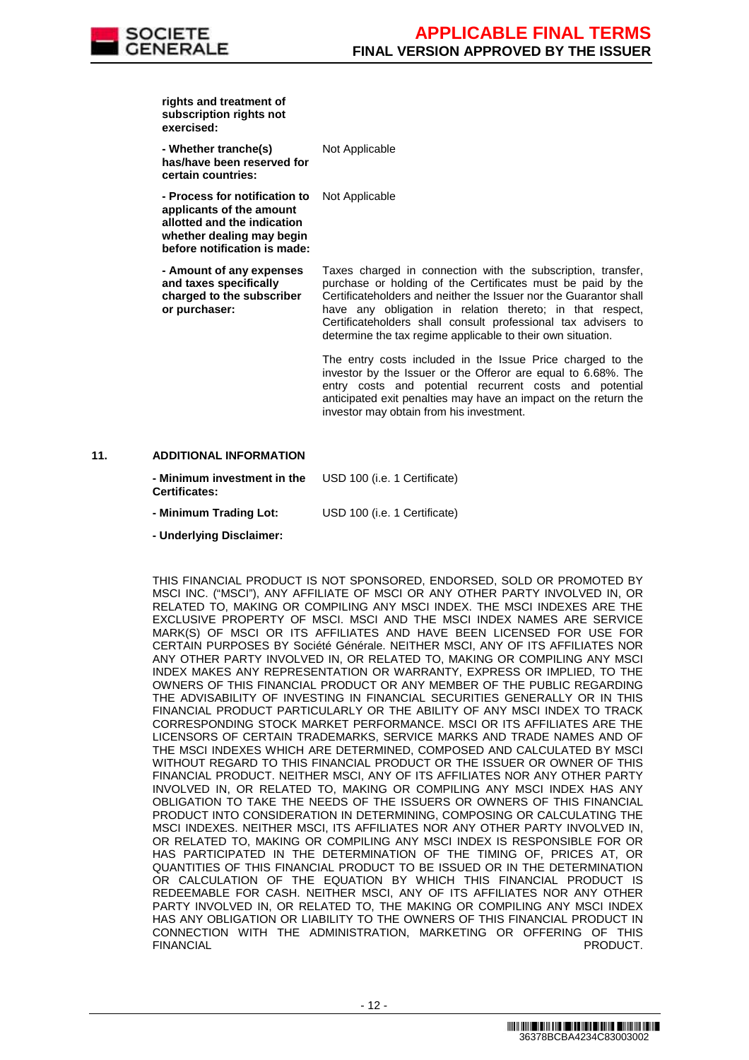

| rights and treatment of<br>subscription rights not<br>exercised:                                                                                      |                      |
|-------------------------------------------------------------------------------------------------------------------------------------------------------|----------------------|
| - Whether tranche(s)<br>has/have been reserved for<br>certain countries:                                                                              | Not Applicable       |
| - Process for notification to<br>applicants of the amount<br>allotted and the indication<br>whether dealing may begin<br>before notification is made: | Not Applicable       |
| - Amount of any expenses                                                                                                                              | Taxes charged in cor |

 **- Amount of any expenses and taxes specifically charged to the subscriber or purchaser:**

Taxes charged in connection with the subscription, transfer, purchase or holding of the Certificates must be paid by the Certificateholders and neither the Issuer nor the Guarantor shall have any obligation in relation thereto; in that respect, Certificateholders shall consult professional tax advisers to determine the tax regime applicable to their own situation.

The entry costs included in the Issue Price charged to the investor by the Issuer or the Offeror are equal to 6.68%. The entry costs and potential recurrent costs and potential anticipated exit penalties may have an impact on the return the investor may obtain from his investment.

#### **11. ADDITIONAL INFORMATION**

| - Minimum investment in the | USD 100 (i.e. 1 Certificate) |
|-----------------------------|------------------------------|
| <b>Certificates:</b>        |                              |

- **Minimum Trading Lot:** USD 100 (i.e. 1 Certificate)
- **Underlying Disclaimer:**

 THIS FINANCIAL PRODUCT IS NOT SPONSORED, ENDORSED, SOLD OR PROMOTED BY MSCI INC. ("MSCI"), ANY AFFILIATE OF MSCI OR ANY OTHER PARTY INVOLVED IN, OR RELATED TO, MAKING OR COMPILING ANY MSCI INDEX. THE MSCI INDEXES ARE THE EXCLUSIVE PROPERTY OF MSCI. MSCI AND THE MSCI INDEX NAMES ARE SERVICE MARK(S) OF MSCI OR ITS AFFILIATES AND HAVE BEEN LICENSED FOR USE FOR CERTAIN PURPOSES BY Société Générale. NEITHER MSCI, ANY OF ITS AFFILIATES NOR ANY OTHER PARTY INVOLVED IN, OR RELATED TO, MAKING OR COMPILING ANY MSCI INDEX MAKES ANY REPRESENTATION OR WARRANTY, EXPRESS OR IMPLIED, TO THE OWNERS OF THIS FINANCIAL PRODUCT OR ANY MEMBER OF THE PUBLIC REGARDING THE ADVISABILITY OF INVESTING IN FINANCIAL SECURITIES GENERALLY OR IN THIS FINANCIAL PRODUCT PARTICULARLY OR THE ABILITY OF ANY MSCI INDEX TO TRACK CORRESPONDING STOCK MARKET PERFORMANCE. MSCI OR ITS AFFILIATES ARE THE LICENSORS OF CERTAIN TRADEMARKS, SERVICE MARKS AND TRADE NAMES AND OF THE MSCI INDEXES WHICH ARE DETERMINED, COMPOSED AND CALCULATED BY MSCI WITHOUT REGARD TO THIS FINANCIAL PRODUCT OR THE ISSUER OR OWNER OF THIS FINANCIAL PRODUCT. NEITHER MSCI, ANY OF ITS AFFILIATES NOR ANY OTHER PARTY INVOLVED IN, OR RELATED TO, MAKING OR COMPILING ANY MSCI INDEX HAS ANY OBLIGATION TO TAKE THE NEEDS OF THE ISSUERS OR OWNERS OF THIS FINANCIAL PRODUCT INTO CONSIDERATION IN DETERMINING, COMPOSING OR CALCULATING THE MSCI INDEXES. NEITHER MSCI, ITS AFFILIATES NOR ANY OTHER PARTY INVOLVED IN, OR RELATED TO, MAKING OR COMPILING ANY MSCI INDEX IS RESPONSIBLE FOR OR HAS PARTICIPATED IN THE DETERMINATION OF THE TIMING OF, PRICES AT, OR QUANTITIES OF THIS FINANCIAL PRODUCT TO BE ISSUED OR IN THE DETERMINATION OR CALCULATION OF THE EQUATION BY WHICH THIS FINANCIAL PRODUCT IS REDEEMABLE FOR CASH. NEITHER MSCI, ANY OF ITS AFFILIATES NOR ANY OTHER PARTY INVOLVED IN, OR RELATED TO, THE MAKING OR COMPILING ANY MSCI INDEX HAS ANY OBLIGATION OR LIABILITY TO THE OWNERS OF THIS FINANCIAL PRODUCT IN CONNECTION WITH THE ADMINISTRATION, MARKETING OR OFFERING OF THIS FINANCIAL **PRODUCT.**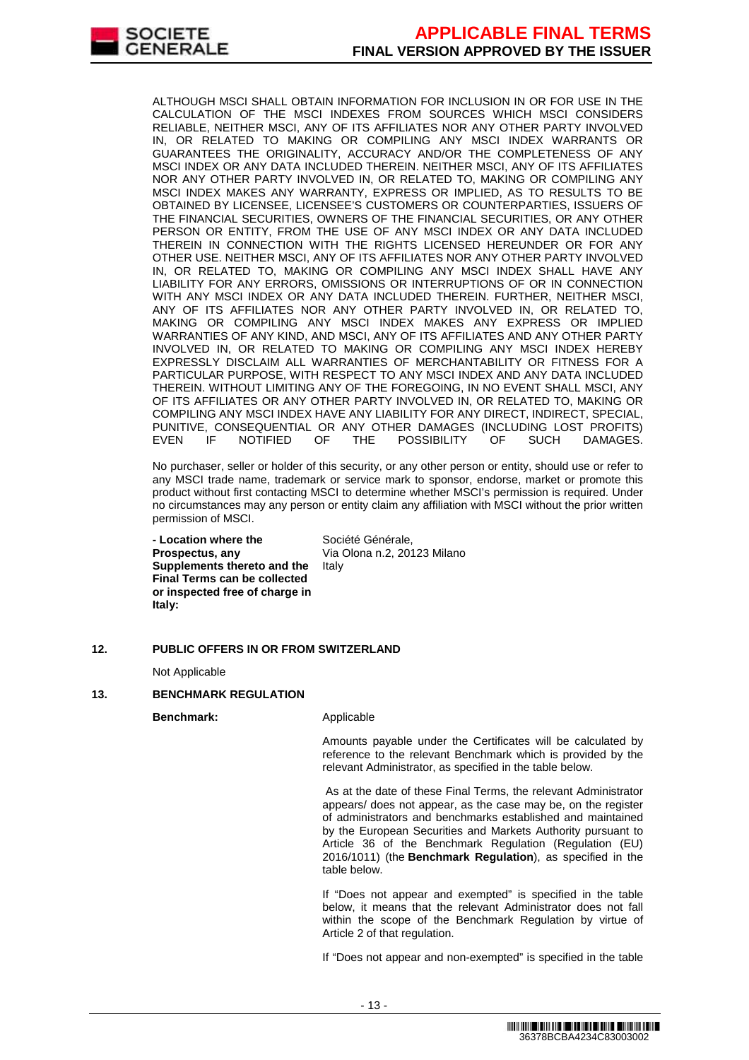

ALTHOUGH MSCI SHALL OBTAIN INFORMATION FOR INCLUSION IN OR FOR USE IN THE CALCULATION OF THE MSCI INDEXES FROM SOURCES WHICH MSCI CONSIDERS RELIABLE, NEITHER MSCI, ANY OF ITS AFFILIATES NOR ANY OTHER PARTY INVOLVED IN, OR RELATED TO MAKING OR COMPILING ANY MSCI INDEX WARRANTS OR GUARANTEES THE ORIGINALITY, ACCURACY AND/OR THE COMPLETENESS OF ANY MSCI INDEX OR ANY DATA INCLUDED THEREIN. NEITHER MSCI, ANY OF ITS AFFILIATES NOR ANY OTHER PARTY INVOLVED IN, OR RELATED TO, MAKING OR COMPILING ANY MSCI INDEX MAKES ANY WARRANTY, EXPRESS OR IMPLIED, AS TO RESULTS TO BE OBTAINED BY LICENSEE, LICENSEE'S CUSTOMERS OR COUNTERPARTIES, ISSUERS OF THE FINANCIAL SECURITIES, OWNERS OF THE FINANCIAL SECURITIES, OR ANY OTHER PERSON OR ENTITY, FROM THE USE OF ANY MSCI INDEX OR ANY DATA INCLUDED THEREIN IN CONNECTION WITH THE RIGHTS LICENSED HEREUNDER OR FOR ANY OTHER USE. NEITHER MSCI, ANY OF ITS AFFILIATES NOR ANY OTHER PARTY INVOLVED IN, OR RELATED TO, MAKING OR COMPILING ANY MSCI INDEX SHALL HAVE ANY LIABILITY FOR ANY ERRORS, OMISSIONS OR INTERRUPTIONS OF OR IN CONNECTION WITH ANY MSCI INDEX OR ANY DATA INCLUDED THEREIN. FURTHER, NEITHER MSCI, ANY OF ITS AFFILIATES NOR ANY OTHER PARTY INVOLVED IN, OR RELATED TO, MAKING OR COMPILING ANY MSCI INDEX MAKES ANY EXPRESS OR IMPLIED WARRANTIES OF ANY KIND, AND MSCI, ANY OF ITS AFFILIATES AND ANY OTHER PARTY INVOLVED IN, OR RELATED TO MAKING OR COMPILING ANY MSCI INDEX HEREBY EXPRESSLY DISCLAIM ALL WARRANTIES OF MERCHANTABILITY OR FITNESS FOR A PARTICULAR PURPOSE, WITH RESPECT TO ANY MSCI INDEX AND ANY DATA INCLUDED THEREIN. WITHOUT LIMITING ANY OF THE FOREGOING, IN NO EVENT SHALL MSCI, ANY OF ITS AFFILIATES OR ANY OTHER PARTY INVOLVED IN, OR RELATED TO, MAKING OR COMPILING ANY MSCI INDEX HAVE ANY LIABILITY FOR ANY DIRECT, INDIRECT, SPECIAL, PUNITIVE, CONSEQUENTIAL OR ANY OTHER DAMAGES (INCLUDING LOST PROFITS)<br>EVEN IF NOTIFIED OF THE POSSIBILITY OF SUCH DAMAGES. EVEN IF NOTIFIED OF THE POSSIBILITY OF SUCH DAMAGES.

No purchaser, seller or holder of this security, or any other person or entity, should use or refer to any MSCI trade name, trademark or service mark to sponsor, endorse, market or promote this product without first contacting MSCI to determine whether MSCI's permission is required. Under no circumstances may any person or entity claim any affiliation with MSCI without the prior written permission of MSCI.

 **- Location where the Prospectus, any Supplements thereto and the Final Terms can be collected or inspected free of charge in Italy:**

Société Générale, Via Olona n.2, 20123 Milano Italy

# **12. PUBLIC OFFERS IN OR FROM SWITZERLAND**

Not Applicable

#### **13. BENCHMARK REGULATION**

**Benchmark:** Applicable

Amounts payable under the Certificates will be calculated by reference to the relevant Benchmark which is provided by the relevant Administrator, as specified in the table below.

As at the date of these Final Terms, the relevant Administrator appears/ does not appear, as the case may be, on the register of administrators and benchmarks established and maintained by the European Securities and Markets Authority pursuant to Article 36 of the Benchmark Regulation (Regulation (EU) 2016/1011) (the **Benchmark Regulation**), as specified in the table below.

If "Does not appear and exempted" is specified in the table below, it means that the relevant Administrator does not fall within the scope of the Benchmark Regulation by virtue of Article 2 of that regulation.

If "Does not appear and non-exempted" is specified in the table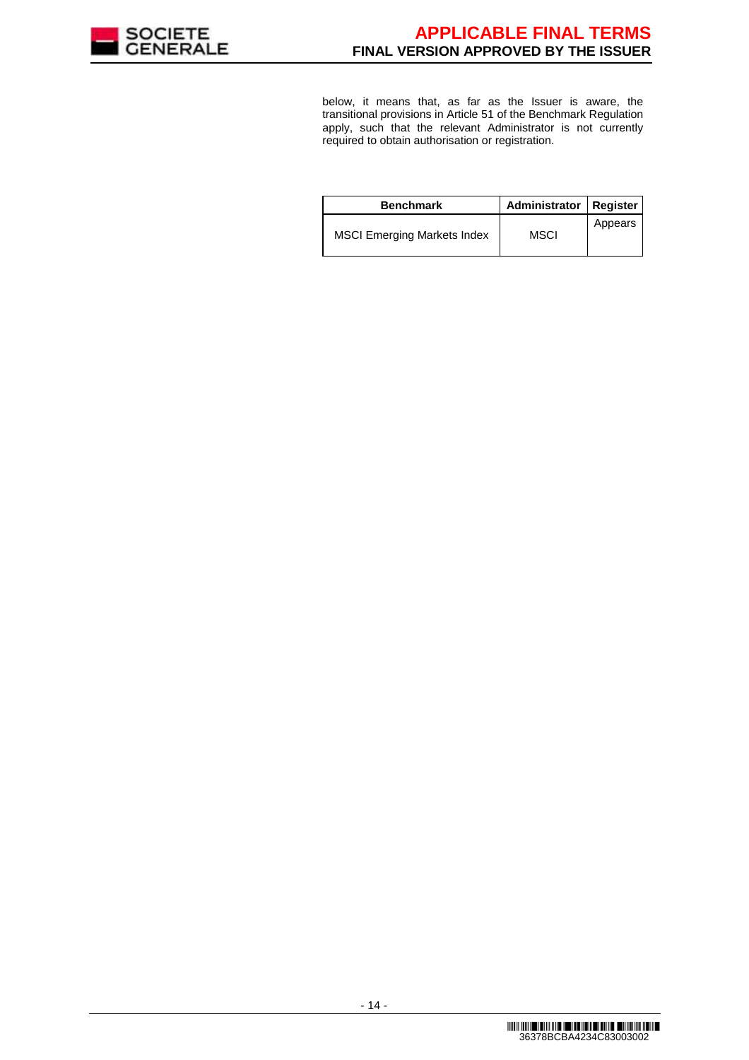

below, it means that, as far as the Issuer is aware, the transitional provisions in Article 51 of the Benchmark Regulation apply, such that the relevant Administrator is not currently required to obtain authorisation or registration.

| <b>Benchmark</b>                   | Administrator   Register |         |
|------------------------------------|--------------------------|---------|
| <b>MSCI Emerging Markets Index</b> | MSCI                     | Appears |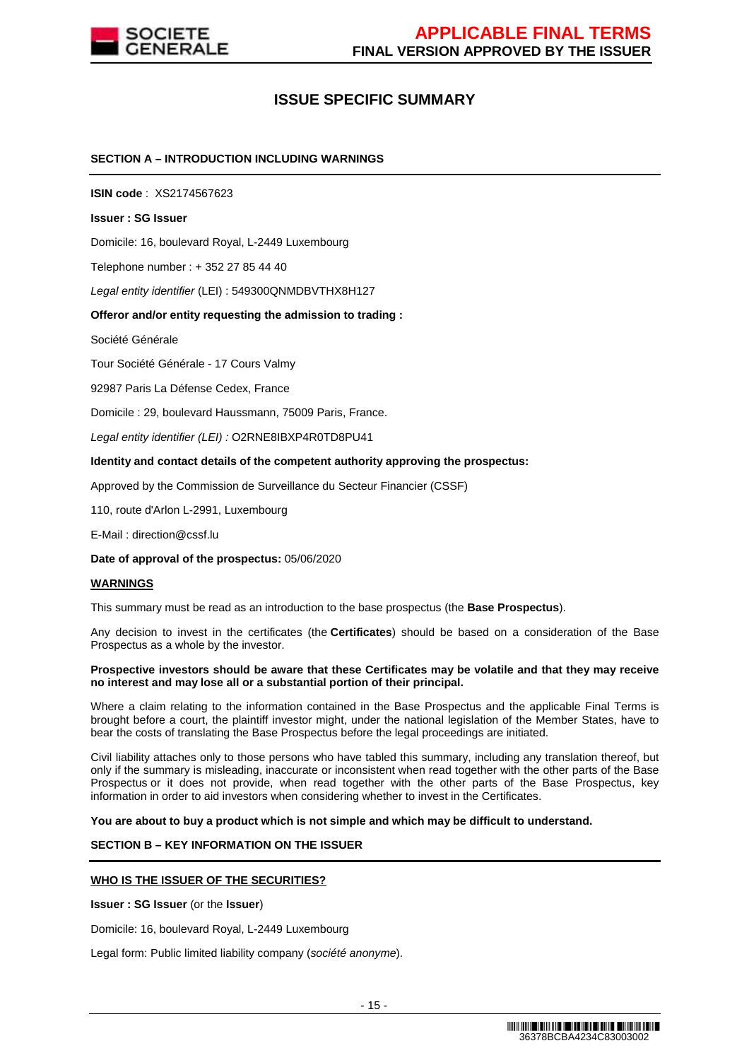

# **ISSUE SPECIFIC SUMMARY**

#### **SECTION A – INTRODUCTION INCLUDING WARNINGS**

**ISIN code** : XS2174567623

#### **Issuer : SG Issuer**

Domicile: 16, boulevard Royal, L-2449 Luxembourg

Telephone number : + 352 27 85 44 40

Legal entity identifier (LEI) : 549300QNMDBVTHX8H127

#### **Offeror and/or entity requesting the admission to trading :**

Société Générale

Tour Société Générale - 17 Cours Valmy

92987 Paris La Défense Cedex, France

Domicile : 29, boulevard Haussmann, 75009 Paris, France.

Legal entity identifier (LEI) : O2RNE8IBXP4R0TD8PU41

#### **Identity and contact details of the competent authority approving the prospectus:**

Approved by the Commission de Surveillance du Secteur Financier (CSSF)

110, route d'Arlon L-2991, Luxembourg

E-Mail : direction@cssf.lu

**Date of approval of the prospectus:** 05/06/2020

#### **WARNINGS**

This summary must be read as an introduction to the base prospectus (the **Base Prospectus**).

Any decision to invest in the certificates (the **Certificates**) should be based on a consideration of the Base Prospectus as a whole by the investor.

#### **Prospective investors should be aware that these Certificates may be volatile and that they may receive no interest and may lose all or a substantial portion of their principal.**

Where a claim relating to the information contained in the Base Prospectus and the applicable Final Terms is brought before a court, the plaintiff investor might, under the national legislation of the Member States, have to bear the costs of translating the Base Prospectus before the legal proceedings are initiated.

Civil liability attaches only to those persons who have tabled this summary, including any translation thereof, but only if the summary is misleading, inaccurate or inconsistent when read together with the other parts of the Base Prospectus or it does not provide, when read together with the other parts of the Base Prospectus, key information in order to aid investors when considering whether to invest in the Certificates.

**You are about to buy a product which is not simple and which may be difficult to understand.**

#### **SECTION B – KEY INFORMATION ON THE ISSUER**

#### **WHO IS THE ISSUER OF THE SECURITIES?**

**Issuer : SG Issuer** (or the **Issuer**)

Domicile: 16, boulevard Royal, L-2449 Luxembourg

Legal form: Public limited liability company (société anonyme).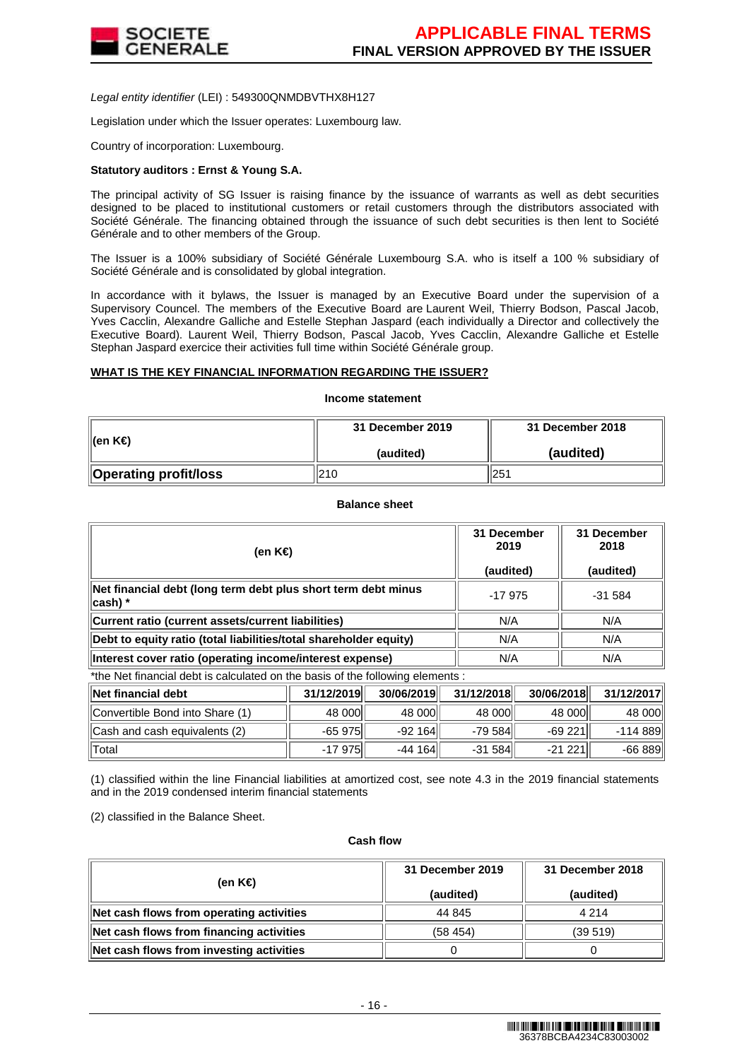

Legal entity identifier (LEI) : 549300QNMDBVTHX8H127

Legislation under which the Issuer operates: Luxembourg law.

Country of incorporation: Luxembourg.

#### **Statutory auditors : Ernst & Young S.A.**

The principal activity of SG Issuer is raising finance by the issuance of warrants as well as debt securities designed to be placed to institutional customers or retail customers through the distributors associated with Société Générale. The financing obtained through the issuance of such debt securities is then lent to Société Générale and to other members of the Group.

The Issuer is a 100% subsidiary of Société Générale Luxembourg S.A. who is itself a 100 % subsidiary of Société Générale and is consolidated by global integration.

In accordance with it bylaws, the Issuer is managed by an Executive Board under the supervision of a Supervisory Councel. The members of the Executive Board are Laurent Weil, Thierry Bodson, Pascal Jacob, Yves Cacclin, Alexandre Galliche and Estelle Stephan Jaspard (each individually a Director and collectively the Executive Board). Laurent Weil, Thierry Bodson, Pascal Jacob, Yves Cacclin, Alexandre Galliche et Estelle Stephan Jaspard exercice their activities full time within Société Générale group.

#### **WHAT IS THE KEY FINANCIAL INFORMATION REGARDING THE ISSUER?**

**Income statement**

|                       | 31 December 2019 | 31 December 2018 |  |
|-----------------------|------------------|------------------|--|
| ∥(en K€)              | (audited)        | (audited)        |  |
| Operating profit/loss | 210              | 251              |  |

#### **Balance sheet**

| (en K€)                                                                   | 31 December<br>2019<br>(audited) | 31 December<br>2018<br>(audited) |
|---------------------------------------------------------------------------|----------------------------------|----------------------------------|
| Net financial debt (long term debt plus short term debt minus<br> cash) * | $-17975$                         | $-31.584$                        |
| Current ratio (current assets/current liabilities)                        | N/A                              | N/A                              |
| Debt to equity ratio (total liabilities/total shareholder equity)         | N/A                              | N/A                              |
| Interest cover ratio (operating income/interest expense)                  | N/A                              | N/A                              |

\*the Net financial debt is calculated on the basis of the following elements :

| ∥Net financial debt             | 31/12/2019 | 30/06/2019 | 31/12/2018 | 30/06/2018 | 31/12/2017 |
|---------------------------------|------------|------------|------------|------------|------------|
| Convertible Bond into Share (1) | 48 000     | 48 000     | 48 000     | 48 000     | 48 000     |
| Cash and cash equivalents (2)   | -65 975    | $-92164$   | $-79584$   | $-69221$   | $-114.889$ |
| Total                           | -17 975    | $-44164$   | $-31584$   | $-21221$   | $-66889$   |

(1) classified within the line Financial liabilities at amortized cost, see note 4.3 in the 2019 financial statements and in the 2019 condensed interim financial statements

(2) classified in the Balance Sheet.

#### **Cash flow**

| (en K€)                                  | 31 December 2019<br>(audited) | 31 December 2018<br>(audited) |  |
|------------------------------------------|-------------------------------|-------------------------------|--|
| Net cash flows from operating activities | 44 845                        | 4 2 1 4                       |  |
| Net cash flows from financing activities | (58, 454)                     | (39519)                       |  |
| Net cash flows from investing activities |                               |                               |  |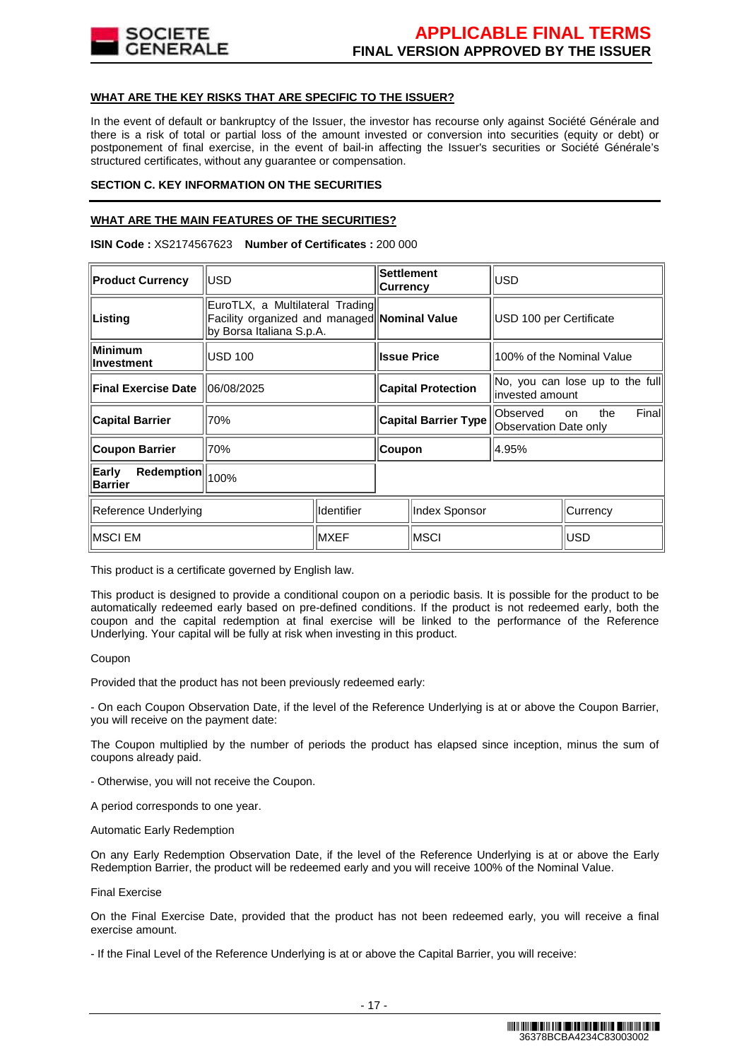

#### **WHAT ARE THE KEY RISKS THAT ARE SPECIFIC TO THE ISSUER?**

In the event of default or bankruptcy of the Issuer, the investor has recourse only against Société Générale and there is a risk of total or partial loss of the amount invested or conversion into securities (equity or debt) or postponement of final exercise, in the event of bail-in affecting the Issuer's securities or Société Générale's structured certificates, without any guarantee or compensation.

#### **SECTION C. KEY INFORMATION ON THE SECURITIES**

#### **WHAT ARE THE MAIN FEATURES OF THE SECURITIES?**

**ISIN Code :** XS2174567623 **Number of Certificates :** 200 000

| <b>Product Currency</b>               | <b>USD</b>                                                  |                    | <b>Settlement</b><br><b>Currency</b>         |                           | USD                                                 |                      |        |
|---------------------------------------|-------------------------------------------------------------|--------------------|----------------------------------------------|---------------------------|-----------------------------------------------------|----------------------|--------|
| Listing                               | EuroTLX, a Multilateral Trading<br>by Borsa Italiana S.p.A. |                    | Facility organized and managed Nominal Value |                           | USD 100 per Certificate                             |                      |        |
| Minimum<br>llnvestment                | <b>USD 100</b>                                              | <b>Issue Price</b> |                                              | 100% of the Nominal Value |                                                     |                      |        |
| <b>Final Exercise Date</b>            | 06/08/2025                                                  |                    |                                              | <b>Capital Protection</b> | No, you can lose up to the full<br>linvested amount |                      |        |
| <b>Capital Barrier</b>                | 70%                                                         |                    | <b>Capital Barrier Type</b>                  |                           | Observed<br>Observation Date only                   | the<br><sub>on</sub> | Finall |
| <b>Coupon Barrier</b>                 | 70%                                                         |                    | Coupon                                       |                           | 4.95%                                               |                      |        |
| Redemption<br>Early<br><b>Barrier</b> | 100%                                                        |                    |                                              |                           |                                                     |                      |        |
| Identifier<br>Reference Underlying    |                                                             | Index Sponsor      |                                              |                           | Currency                                            |                      |        |
| <b>MXEF</b><br>∥MSCI EM               |                                                             |                    | IMSCI                                        |                           | <b>USD</b>                                          |                      |        |

This product is a certificate governed by English law.

This product is designed to provide a conditional coupon on a periodic basis. It is possible for the product to be automatically redeemed early based on pre-defined conditions. If the product is not redeemed early, both the coupon and the capital redemption at final exercise will be linked to the performance of the Reference Underlying. Your capital will be fully at risk when investing in this product.

#### Coupon

Provided that the product has not been previously redeemed early:

- On each Coupon Observation Date, if the level of the Reference Underlying is at or above the Coupon Barrier, you will receive on the payment date:

The Coupon multiplied by the number of periods the product has elapsed since inception, minus the sum of coupons already paid.

- Otherwise, you will not receive the Coupon.

A period corresponds to one year.

Automatic Early Redemption

On any Early Redemption Observation Date, if the level of the Reference Underlying is at or above the Early Redemption Barrier, the product will be redeemed early and you will receive 100% of the Nominal Value.

#### Final Exercise

On the Final Exercise Date, provided that the product has not been redeemed early, you will receive a final exercise amount.

- If the Final Level of the Reference Underlying is at or above the Capital Barrier, you will receive: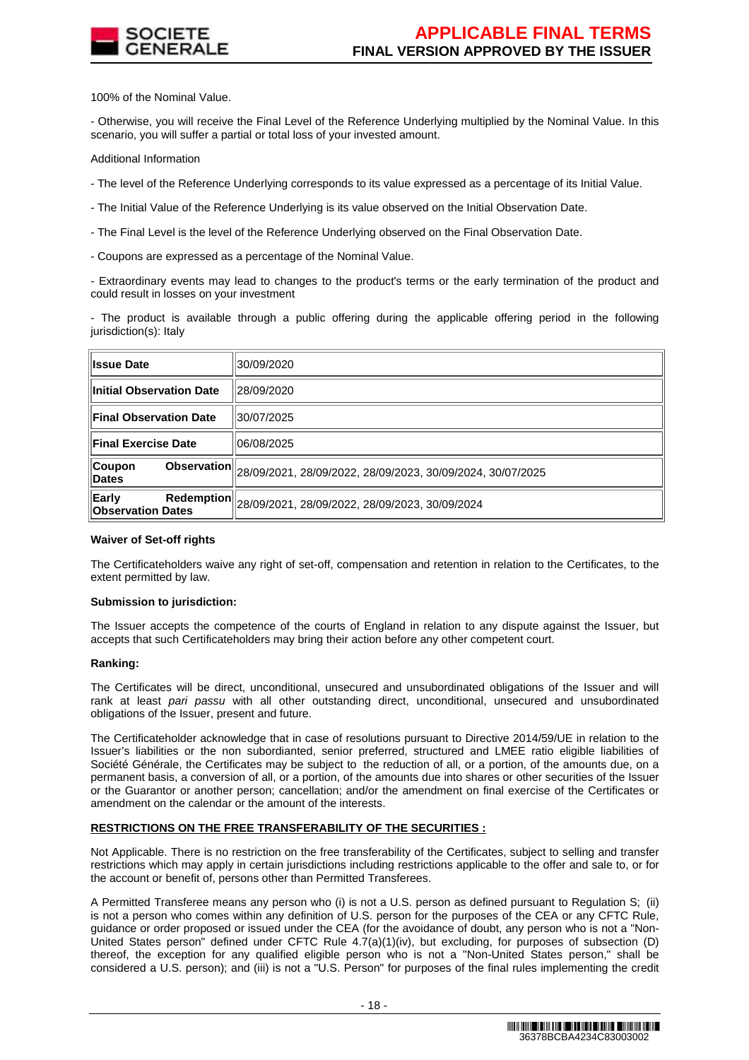

100% of the Nominal Value.

- Otherwise, you will receive the Final Level of the Reference Underlying multiplied by the Nominal Value. In this scenario, you will suffer a partial or total loss of your invested amount.

Additional Information

- The level of the Reference Underlying corresponds to its value expressed as a percentage of its Initial Value.
- The Initial Value of the Reference Underlying is its value observed on the Initial Observation Date.
- The Final Level is the level of the Reference Underlying observed on the Final Observation Date.
- Coupons are expressed as a percentage of the Nominal Value.

- Extraordinary events may lead to changes to the product's terms or the early termination of the product and could result in losses on your investment

- The product is available through a public offering during the applicable offering period in the following iurisdiction(s): Italy

| <b>Issue Date</b>                        | 30/09/2020                                                                                     |
|------------------------------------------|------------------------------------------------------------------------------------------------|
| <b>Initial Observation Date</b>          | 28/09/2020                                                                                     |
| <b>Final Observation Date</b>            | 30/07/2025                                                                                     |
| <b>Final Exercise Date</b>               | 06/08/2025                                                                                     |
| <b>Coupon</b><br><b>Dates</b>            | Observation $\parallel$ <sub>28</sub> /09/2021, 28/09/2022, 28/09/2023, 30/09/2024, 30/07/2025 |
| <b>Early</b><br><b>Observation Dates</b> | Redemption 28/09/2021, 28/09/2022, 28/09/2023, 30/09/2024                                      |

#### **Waiver of Set-off rights**

The Certificateholders waive any right of set-off, compensation and retention in relation to the Certificates, to the extent permitted by law.

#### **Submission to jurisdiction:**

The Issuer accepts the competence of the courts of England in relation to any dispute against the Issuer, but accepts that such Certificateholders may bring their action before any other competent court.

#### **Ranking:**

The Certificates will be direct, unconditional, unsecured and unsubordinated obligations of the Issuer and will rank at least pari passu with all other outstanding direct, unconditional, unsecured and unsubordinated obligations of the Issuer, present and future.

The Certificateholder acknowledge that in case of resolutions pursuant to Directive 2014/59/UE in relation to the Issuer's liabilities or the non subordianted, senior preferred, structured and LMEE ratio eligible liabilities of Société Générale, the Certificates may be subject to the reduction of all, or a portion, of the amounts due, on a permanent basis, a conversion of all, or a portion, of the amounts due into shares or other securities of the Issuer or the Guarantor or another person; cancellation; and/or the amendment on final exercise of the Certificates or amendment on the calendar or the amount of the interests.

#### **RESTRICTIONS ON THE FREE TRANSFERABILITY OF THE SECURITIES :**

Not Applicable. There is no restriction on the free transferability of the Certificates, subject to selling and transfer restrictions which may apply in certain jurisdictions including restrictions applicable to the offer and sale to, or for the account or benefit of, persons other than Permitted Transferees.

A Permitted Transferee means any person who (i) is not a U.S. person as defined pursuant to Regulation S; (ii) is not a person who comes within any definition of U.S. person for the purposes of the CEA or any CFTC Rule, guidance or order proposed or issued under the CEA (for the avoidance of doubt, any person who is not a "Non-United States person" defined under CFTC Rule  $4.7(a)(1)(iv)$ , but excluding, for purposes of subsection (D) thereof, the exception for any qualified eligible person who is not a "Non-United States person," shall be considered a U.S. person); and (iii) is not a "U.S. Person" for purposes of the final rules implementing the credit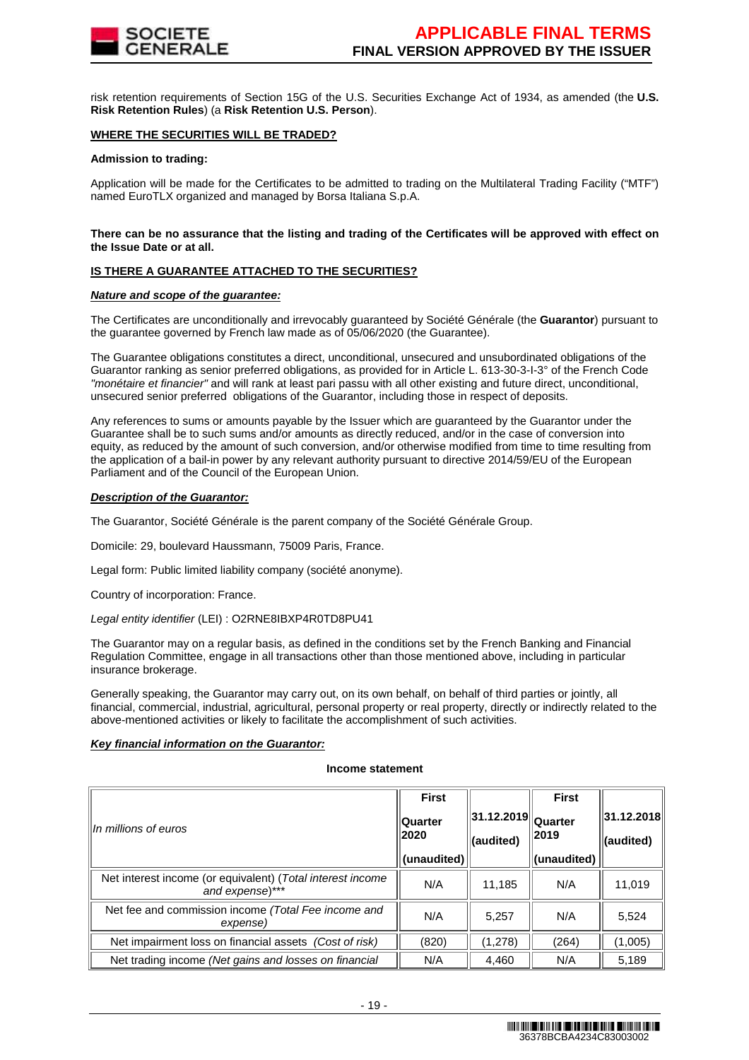

risk retention requirements of Section 15G of the U.S. Securities Exchange Act of 1934, as amended (the **U.S. Risk Retention Rules**) (a **Risk Retention U.S. Person**).

#### **WHERE THE SECURITIES WILL BE TRADED?**

#### **Admission to trading:**

Application will be made for the Certificates to be admitted to trading on the Multilateral Trading Facility ("MTF") named EuroTLX organized and managed by Borsa Italiana S.p.A.

#### **There can be no assurance that the listing and trading of the Certificates will be approved with effect on the Issue Date or at all.**

# **IS THERE A GUARANTEE ATTACHED TO THE SECURITIES?**

#### **Nature and scope of the guarantee:**

The Certificates are unconditionally and irrevocably guaranteed by Société Générale (the **Guarantor**) pursuant to the guarantee governed by French law made as of 05/06/2020 (the Guarantee).

The Guarantee obligations constitutes a direct, unconditional, unsecured and unsubordinated obligations of the Guarantor ranking as senior preferred obligations, as provided for in Article L. 613-30-3-I-3° of the French Code "monétaire et financier" and will rank at least pari passu with all other existing and future direct, unconditional, unsecured senior preferred obligations of the Guarantor, including those in respect of deposits.

Any references to sums or amounts payable by the Issuer which are guaranteed by the Guarantor under the Guarantee shall be to such sums and/or amounts as directly reduced, and/or in the case of conversion into equity, as reduced by the amount of such conversion, and/or otherwise modified from time to time resulting from the application of a bail-in power by any relevant authority pursuant to directive 2014/59/EU of the European Parliament and of the Council of the European Union.

#### **Description of the Guarantor:**

The Guarantor, Société Générale is the parent company of the Société Générale Group.

Domicile: 29, boulevard Haussmann, 75009 Paris, France.

Legal form: Public limited liability company (société anonyme).

Country of incorporation: France.

Legal entity identifier (LEI) : O2RNE8IBXP4R0TD8PU41

The Guarantor may on a regular basis, as defined in the conditions set by the French Banking and Financial Regulation Committee, engage in all transactions other than those mentioned above, including in particular insurance brokerage.

Generally speaking, the Guarantor may carry out, on its own behalf, on behalf of third parties or jointly, all financial, commercial, industrial, agricultural, personal property or real property, directly or indirectly related to the above-mentioned activities or likely to facilitate the accomplishment of such activities.

#### **Key financial information on the Guarantor:**

#### **Income statement**

| In millions of euros                                                          | <b>First</b><br><b>Quarter</b><br>2020<br>(unaudited) | $  31.12.2019  _{\text{Quarter}}$<br>(audited) | <b>First</b><br> 2019<br>(unaudited) | 31.12.2018 <br>(audited) |
|-------------------------------------------------------------------------------|-------------------------------------------------------|------------------------------------------------|--------------------------------------|--------------------------|
| Net interest income (or equivalent) (Total interest income<br>and expense)*** | N/A                                                   | 11,185                                         | N/A                                  | 11,019                   |
| Net fee and commission income (Total Fee income and<br>expense)               | N/A                                                   | 5.257                                          | N/A                                  | 5,524                    |
| Net impairment loss on financial assets (Cost of risk)                        | (820)                                                 | (1,278)                                        | (264)                                | (1,005)                  |
| Net trading income (Net gains and losses on financial                         | N/A                                                   | 4.460                                          | N/A                                  | 5,189                    |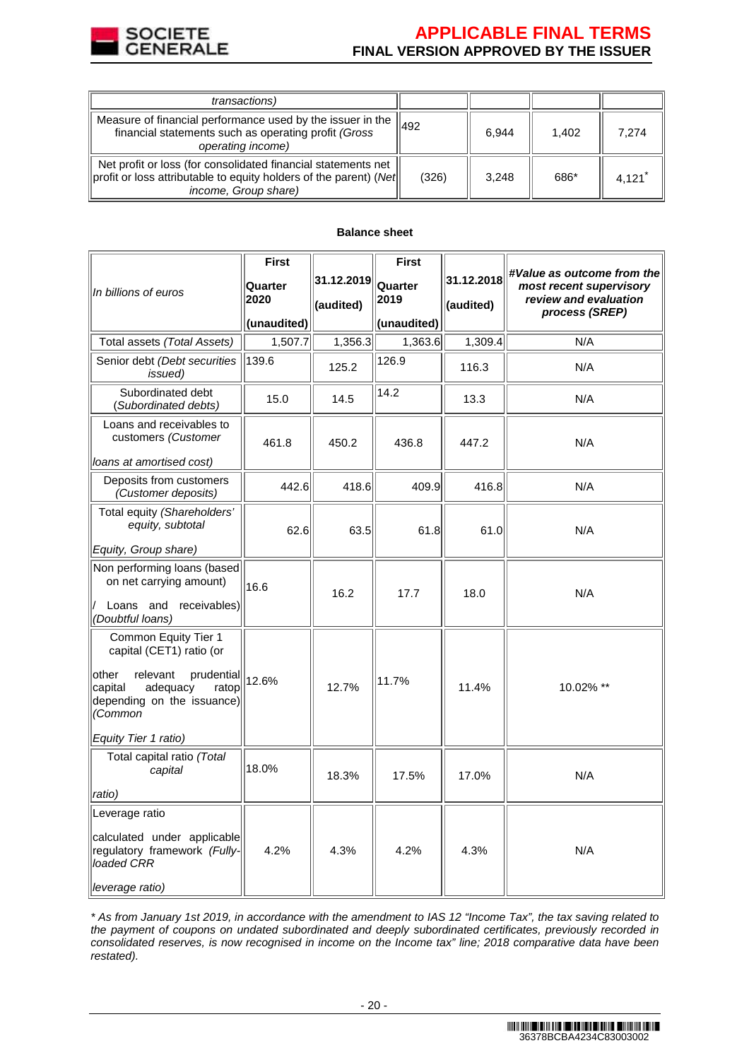

# **APPLICABLE FINAL TERMS FINAL VERSION APPROVED BY THE ISSUER**

| <i>transactions</i> )                                                                                                                                       |       |       |       |       |
|-------------------------------------------------------------------------------------------------------------------------------------------------------------|-------|-------|-------|-------|
| Measure of financial performance used by the issuer in the<br>financial statements such as operating profit (Gross<br>operating income)                     | 492   | 6.944 | 1.402 | 7.274 |
| Net profit or loss (for consolidated financial statements net<br>profit or loss attributable to equity holders of the parent) (Net <br>income, Group share) | (326) | 3.248 | 686*  | 4.121 |

#### **Balance sheet**

|                                                                                                                                                              | <b>First</b>    |                         | <b>First</b>    |                         | #Value as outcome from the                                         |
|--------------------------------------------------------------------------------------------------------------------------------------------------------------|-----------------|-------------------------|-----------------|-------------------------|--------------------------------------------------------------------|
| In billions of euros                                                                                                                                         | Quarter<br>2020 | 31.12.2019<br>(audited) | Quarter<br>2019 | 31.12.2018<br>(audited) | most recent supervisory<br>review and evaluation<br>process (SREP) |
|                                                                                                                                                              | (unaudited)     |                         | (unaudited)     |                         |                                                                    |
| Total assets (Total Assets)                                                                                                                                  | 1,507.7         | 1,356.3                 | 1,363.6         | 1,309.4                 | N/A                                                                |
| Senior debt (Debt securities<br>issued)                                                                                                                      | 139.6           | 125.2                   | 126.9           | 116.3                   | N/A                                                                |
| Subordinated debt<br>(Subordinated debts)                                                                                                                    | 15.0            | 14.5                    | 14.2            | 13.3                    | N/A                                                                |
| Loans and receivables to<br>customers (Customer                                                                                                              | 461.8           | 450.2                   | 436.8           | 447.2                   | N/A                                                                |
| loans at amortised cost)                                                                                                                                     |                 |                         |                 |                         |                                                                    |
| Deposits from customers<br>(Customer deposits)                                                                                                               | 442.6           | 418.6                   | 409.9           | 416.8                   | N/A                                                                |
| Total equity (Shareholders'<br>equity, subtotal                                                                                                              | 62.6            | 63.5                    | 61.8            | 61.0                    | N/A                                                                |
| Equity, Group share)                                                                                                                                         |                 |                         |                 |                         |                                                                    |
| Non performing loans (based<br>on net carrying amount)<br>Loans and receivables)                                                                             | 16.6            | 16.2                    | 17.7            | 18.0                    | N/A                                                                |
| (Doubtful loans)                                                                                                                                             |                 |                         |                 |                         |                                                                    |
| Common Equity Tier 1<br>capital (CET1) ratio (or<br>other<br>relevant<br>prudential<br>ratop<br>capital<br>adequacy<br>depending on the issuance)<br>(Common | 12.6%           | 12.7%                   | 11.7%           | 11.4%                   | 10.02% **                                                          |
| Equity Tier 1 ratio)                                                                                                                                         |                 |                         |                 |                         |                                                                    |
| Total capital ratio (Total<br>capital<br>ratio)                                                                                                              | 18.0%           | 18.3%                   | 17.5%           | 17.0%                   | N/A                                                                |
| Leverage ratio                                                                                                                                               |                 |                         |                 |                         |                                                                    |
| calculated under applicable<br>regulatory framework (Fully-<br>loaded CRR                                                                                    | 4.2%            | 4.3%                    | 4.2%            | 4.3%                    | N/A                                                                |
| leverage ratio)                                                                                                                                              |                 |                         |                 |                         |                                                                    |

\* As from January 1st 2019, in accordance with the amendment to IAS 12 "Income Tax", the tax saving related to the payment of coupons on undated subordinated and deeply subordinated certificates, previously recorded in consolidated reserves, is now recognised in income on the Income tax" line; 2018 comparative data have been restated).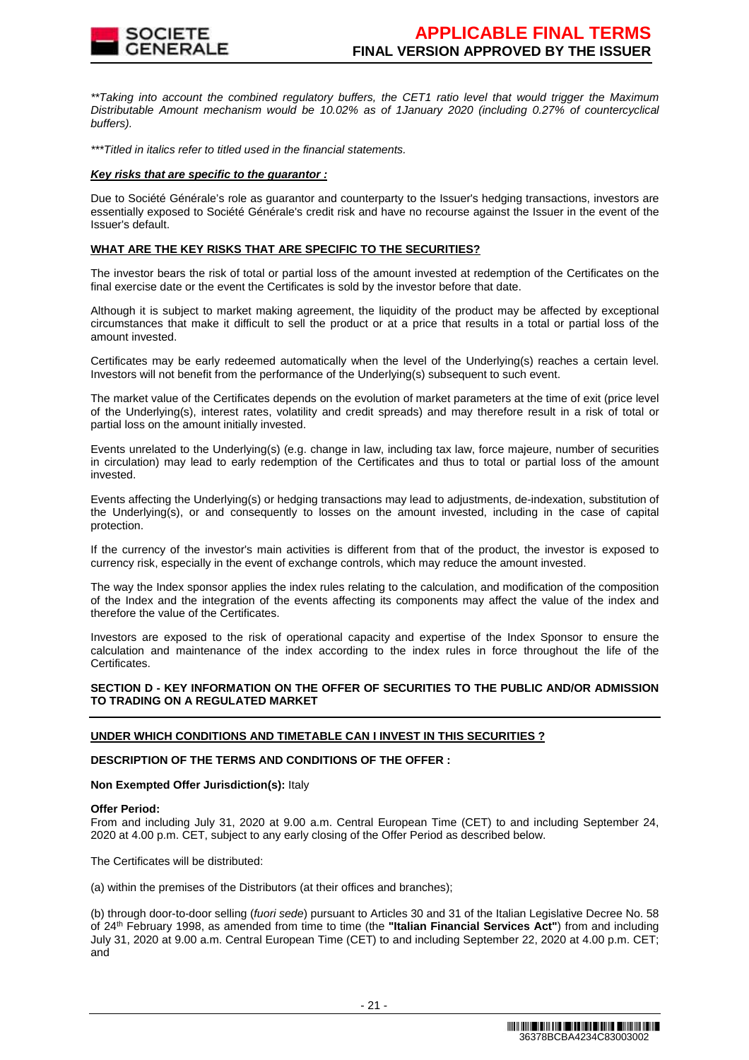

\*\*Taking into account the combined regulatory buffers, the CET1 ratio level that would trigger the Maximum Distributable Amount mechanism would be 10.02% as of 1January 2020 (including 0.27% of countercyclical buffers).

\*\*\*Titled in italics refer to titled used in the financial statements.

#### **Key risks that are specific to the guarantor :**

Due to Société Générale's role as guarantor and counterparty to the Issuer's hedging transactions, investors are essentially exposed to Société Générale's credit risk and have no recourse against the Issuer in the event of the Issuer's default.

#### **WHAT ARE THE KEY RISKS THAT ARE SPECIFIC TO THE SECURITIES?**

The investor bears the risk of total or partial loss of the amount invested at redemption of the Certificates on the final exercise date or the event the Certificates is sold by the investor before that date.

Although it is subject to market making agreement, the liquidity of the product may be affected by exceptional circumstances that make it difficult to sell the product or at a price that results in a total or partial loss of the amount invested.

Certificates may be early redeemed automatically when the level of the Underlying(s) reaches a certain level. Investors will not benefit from the performance of the Underlying(s) subsequent to such event.

The market value of the Certificates depends on the evolution of market parameters at the time of exit (price level of the Underlying(s), interest rates, volatility and credit spreads) and may therefore result in a risk of total or partial loss on the amount initially invested.

Events unrelated to the Underlying(s) (e.g. change in law, including tax law, force majeure, number of securities in circulation) may lead to early redemption of the Certificates and thus to total or partial loss of the amount invested.

Events affecting the Underlying(s) or hedging transactions may lead to adjustments, de-indexation, substitution of the Underlying(s), or and consequently to losses on the amount invested, including in the case of capital protection.

If the currency of the investor's main activities is different from that of the product, the investor is exposed to currency risk, especially in the event of exchange controls, which may reduce the amount invested.

The way the Index sponsor applies the index rules relating to the calculation, and modification of the composition of the Index and the integration of the events affecting its components may affect the value of the index and therefore the value of the Certificates.

Investors are exposed to the risk of operational capacity and expertise of the Index Sponsor to ensure the calculation and maintenance of the index according to the index rules in force throughout the life of the Certificates.

# **SECTION D - KEY INFORMATION ON THE OFFER OF SECURITIES TO THE PUBLIC AND/OR ADMISSION TO TRADING ON A REGULATED MARKET**

# **UNDER WHICH CONDITIONS AND TIMETABLE CAN I INVEST IN THIS SECURITIES ?**

#### **DESCRIPTION OF THE TERMS AND CONDITIONS OF THE OFFER :**

#### **Non Exempted Offer Jurisdiction(s):** Italy

#### **Offer Period:**

From and including July 31, 2020 at 9.00 a.m. Central European Time (CET) to and including September 24, 2020 at 4.00 p.m. CET, subject to any early closing of the Offer Period as described below.

The Certificates will be distributed:

(a) within the premises of the Distributors (at their offices and branches);

(b) through door-to-door selling (fuori sede) pursuant to Articles 30 and 31 of the Italian Legislative Decree No. 58 of 24th February 1998, as amended from time to time (the **"Italian Financial Services Act"**) from and including July 31, 2020 at 9.00 a.m. Central European Time (CET) to and including September 22, 2020 at 4.00 p.m. CET; and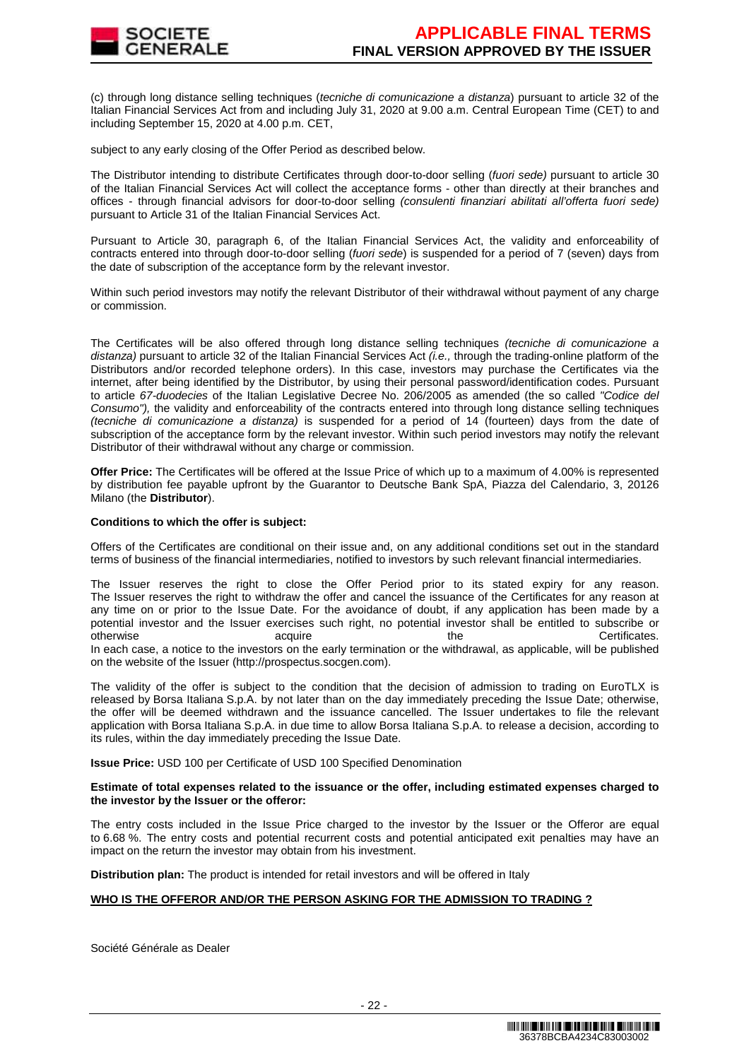(c) through long distance selling techniques (tecniche di comunicazione a distanza) pursuant to article 32 of the Italian Financial Services Act from and including July 31, 2020 at 9.00 a.m. Central European Time (CET) to and including September 15, 2020 at 4.00 p.m. CET,

subject to any early closing of the Offer Period as described below.

The Distributor intending to distribute Certificates through door-to-door selling (fuori sede) pursuant to article 30 of the Italian Financial Services Act will collect the acceptance forms - other than directly at their branches and offices - through financial advisors for door-to-door selling (consulenti finanziari abilitati all'offerta fuori sede) pursuant to Article 31 of the Italian Financial Services Act.

Pursuant to Article 30, paragraph 6, of the Italian Financial Services Act, the validity and enforceability of contracts entered into through door-to-door selling (fuori sede) is suspended for a period of 7 (seven) days from the date of subscription of the acceptance form by the relevant investor.

Within such period investors may notify the relevant Distributor of their withdrawal without payment of any charge or commission.

The Certificates will be also offered through long distance selling techniques *(tecniche di comunicazione a* distanza) pursuant to article 32 of the Italian Financial Services Act  $(i.e.,$  through the trading-online platform of the Distributors and/or recorded telephone orders). In this case, investors may purchase the Certificates via the internet, after being identified by the Distributor, by using their personal password/identification codes. Pursuant to article 67-duodecies of the Italian Legislative Decree No. 206/2005 as amended (the so called "Codice del Consumo"), the validity and enforceability of the contracts entered into through long distance selling techniques (tecniche di comunicazione a distanza) is suspended for a period of 14 (fourteen) days from the date of subscription of the acceptance form by the relevant investor. Within such period investors may notify the relevant Distributor of their withdrawal without any charge or commission.

**Offer Price:** The Certificates will be offered at the Issue Price of which up to a maximum of 4.00% is represented by distribution fee payable upfront by the Guarantor to Deutsche Bank SpA, Piazza del Calendario, 3, 20126 Milano (the **Distributor**).

#### **Conditions to which the offer is subject:**

Offers of the Certificates are conditional on their issue and, on any additional conditions set out in the standard terms of business of the financial intermediaries, notified to investors by such relevant financial intermediaries.

The Issuer reserves the right to close the Offer Period prior to its stated expiry for any reason. The Issuer reserves the right to withdraw the offer and cancel the issuance of the Certificates for any reason at any time on or prior to the Issue Date. For the avoidance of doubt, if any application has been made by a potential investor and the Issuer exercises such right, no potential investor shall be entitled to subscribe or otherwise acquire acquire the the Certificates.

In each case, a notice to the investors on the early termination or the withdrawal, as applicable, will be published on the website of the Issuer (http://prospectus.socgen.com).

The validity of the offer is subject to the condition that the decision of admission to trading on EuroTLX is released by Borsa Italiana S.p.A. by not later than on the day immediately preceding the Issue Date; otherwise, the offer will be deemed withdrawn and the issuance cancelled. The Issuer undertakes to file the relevant application with Borsa Italiana S.p.A. in due time to allow Borsa Italiana S.p.A. to release a decision, according to its rules, within the day immediately preceding the Issue Date.

**Issue Price:** USD 100 per Certificate of USD 100 Specified Denomination

#### **Estimate of total expenses related to the issuance or the offer, including estimated expenses charged to the investor by the Issuer or the offeror:**

The entry costs included in the Issue Price charged to the investor by the Issuer or the Offeror are equal to 6.68 %. The entry costs and potential recurrent costs and potential anticipated exit penalties may have an impact on the return the investor may obtain from his investment.

**Distribution plan:** The product is intended for retail investors and will be offered in Italy

# **WHO IS THE OFFEROR AND/OR THE PERSON ASKING FOR THE ADMISSION TO TRADING ?**

Société Générale as Dealer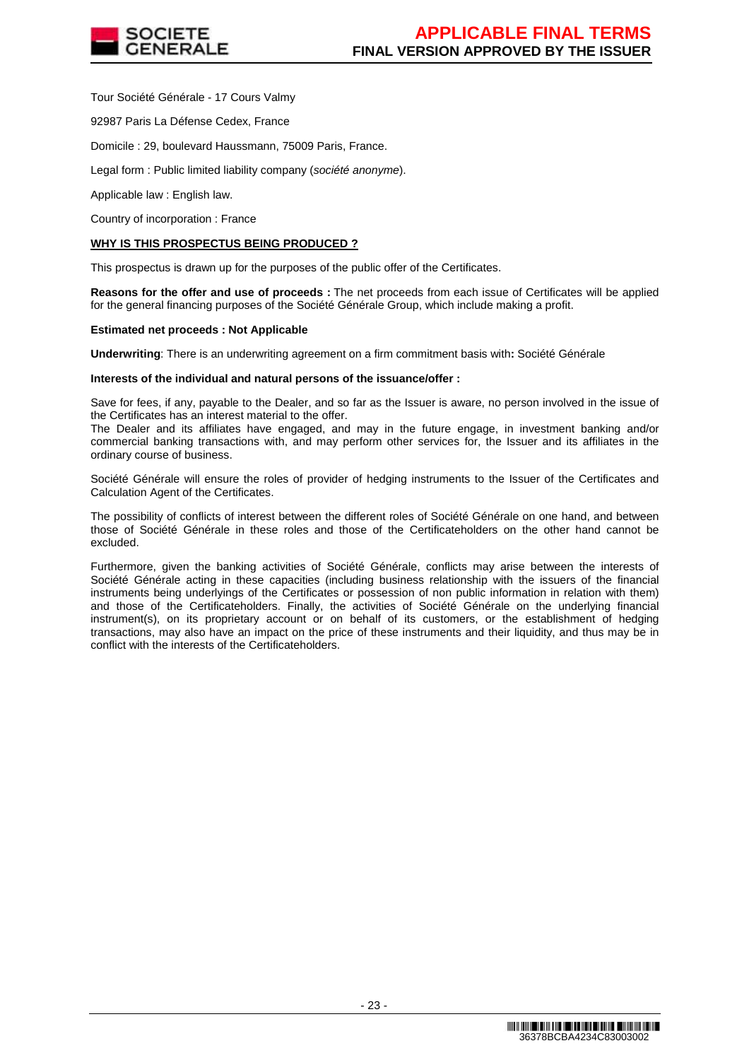

Tour Société Générale - 17 Cours Valmy

92987 Paris La Défense Cedex, France

Domicile : 29, boulevard Haussmann, 75009 Paris, France.

Legal form : Public limited liability company (société anonyme).

Applicable law : English law.

Country of incorporation : France

#### **WHY IS THIS PROSPECTUS BEING PRODUCED ?**

This prospectus is drawn up for the purposes of the public offer of the Certificates.

**Reasons for the offer and use of proceeds :** The net proceeds from each issue of Certificates will be applied for the general financing purposes of the Société Générale Group, which include making a profit.

#### **Estimated net proceeds : Not Applicable**

**Underwriting**: There is an underwriting agreement on a firm commitment basis with**:** Société Générale

#### **Interests of the individual and natural persons of the issuance/offer :**

Save for fees, if any, payable to the Dealer, and so far as the Issuer is aware, no person involved in the issue of the Certificates has an interest material to the offer.

The Dealer and its affiliates have engaged, and may in the future engage, in investment banking and/or commercial banking transactions with, and may perform other services for, the Issuer and its affiliates in the ordinary course of business.

Société Générale will ensure the roles of provider of hedging instruments to the Issuer of the Certificates and Calculation Agent of the Certificates.

The possibility of conflicts of interest between the different roles of Société Générale on one hand, and between those of Société Générale in these roles and those of the Certificateholders on the other hand cannot be excluded.

Furthermore, given the banking activities of Société Générale, conflicts may arise between the interests of Société Générale acting in these capacities (including business relationship with the issuers of the financial instruments being underlyings of the Certificates or possession of non public information in relation with them) and those of the Certificateholders. Finally, the activities of Société Générale on the underlying financial instrument(s), on its proprietary account or on behalf of its customers, or the establishment of hedging transactions, may also have an impact on the price of these instruments and their liquidity, and thus may be in conflict with the interests of the Certificateholders.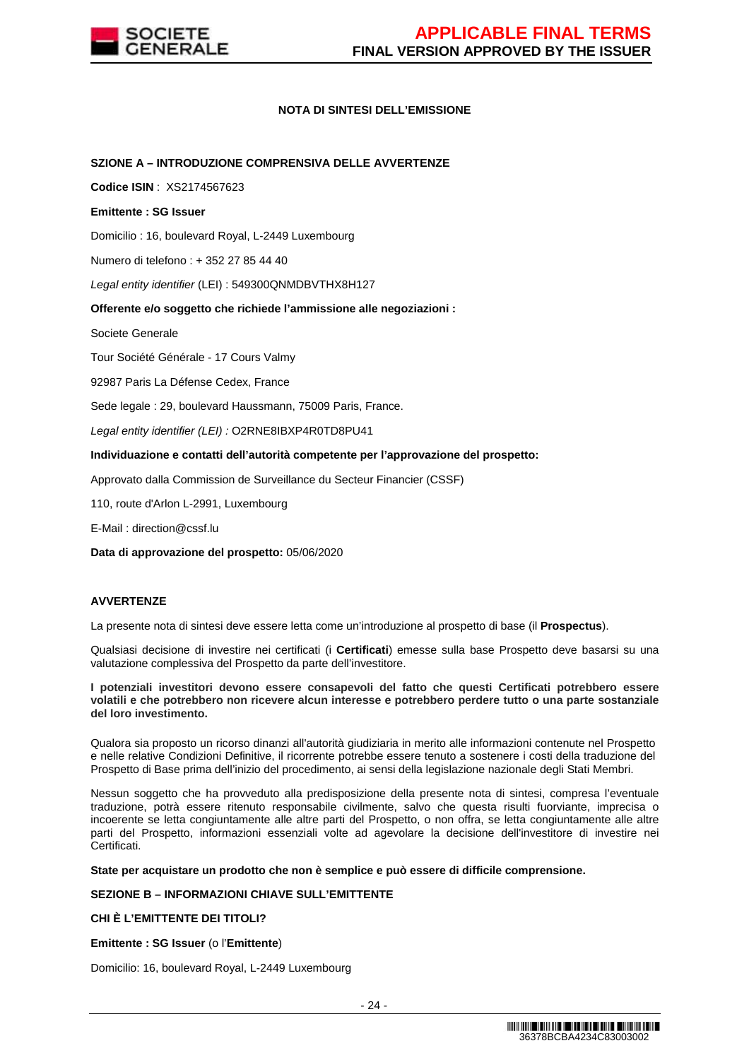

# **NOTA DI SINTESI DELL'EMISSIONE**

#### **SZIONE A – INTRODUZIONE COMPRENSIVA DELLE AVVERTENZE**

**Codice ISIN** : XS2174567623

#### **Emittente : SG Issuer**

Domicilio : 16, boulevard Royal, L-2449 Luxembourg

Numero di telefono : + 352 27 85 44 40

Legal entity identifier (LEI) : 549300QNMDBVTHX8H127

**Offerente e/o soggetto che richiede l'ammissione alle negoziazioni :**

Societe Generale

Tour Société Générale - 17 Cours Valmy

92987 Paris La Défense Cedex, France

Sede legale : 29, boulevard Haussmann, 75009 Paris, France.

Legal entity identifier (LEI) : O2RNE8IBXP4R0TD8PU41

#### **Individuazione e contatti dell'autorità competente per l'approvazione del prospetto:**

Approvato dalla Commission de Surveillance du Secteur Financier (CSSF)

110, route d'Arlon L-2991, Luxembourg

E-Mail : direction@cssf.lu

**Data di approvazione del prospetto:** 05/06/2020

#### **AVVERTENZE**

La presente nota di sintesi deve essere letta come un'introduzione al prospetto di base (il **Prospectus**).

Qualsiasi decisione di investire nei certificati (i **Certificati**) emesse sulla base Prospetto deve basarsi su una valutazione complessiva del Prospetto da parte dell'investitore.

**I potenziali investitori devono essere consapevoli del fatto che questi Certificati potrebbero essere volatili e che potrebbero non ricevere alcun interesse e potrebbero perdere tutto o una parte sostanziale del loro investimento.** 

Qualora sia proposto un ricorso dinanzi all'autorità giudiziaria in merito alle informazioni contenute nel Prospetto e nelle relative Condizioni Definitive, il ricorrente potrebbe essere tenuto a sostenere i costi della traduzione del Prospetto di Base prima dell'inizio del procedimento, ai sensi della legislazione nazionale degli Stati Membri.

Nessun soggetto che ha provveduto alla predisposizione della presente nota di sintesi, compresa l'eventuale traduzione, potrà essere ritenuto responsabile civilmente, salvo che questa risulti fuorviante, imprecisa o incoerente se letta congiuntamente alle altre parti del Prospetto, o non offra, se letta congiuntamente alle altre parti del Prospetto, informazioni essenziali volte ad agevolare la decisione dell'investitore di investire nei Certificati.

**State per acquistare un prodotto che non è semplice e può essere di difficile comprensione.**

# **SEZIONE B – INFORMAZIONI CHIAVE SULL'EMITTENTE**

#### **CHI È L'EMITTENTE DEI TITOLI?**

**Emittente : SG Issuer** (o l'**Emittente**)

Domicilio: 16, boulevard Royal, L-2449 Luxembourg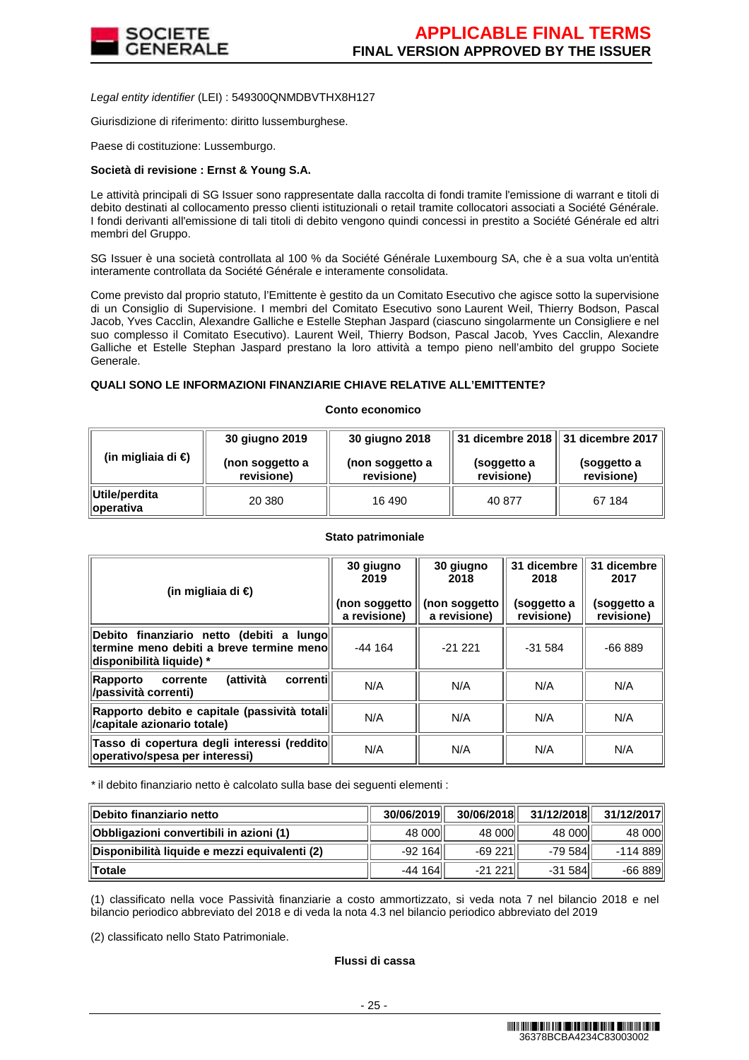

Legal entity identifier (LEI) : 549300QNMDBVTHX8H127

Giurisdizione di riferimento: diritto lussemburghese.

Paese di costituzione: Lussemburgo.

#### **Società di revisione : Ernst & Young S.A.**

Le attività principali di SG Issuer sono rappresentate dalla raccolta di fondi tramite l'emissione di warrant e titoli di debito destinati al collocamento presso clienti istituzionali o retail tramite collocatori associati a Société Générale. I fondi derivanti all'emissione di tali titoli di debito vengono quindi concessi in prestito a Société Générale ed altri membri del Gruppo.

SG Issuer è una società controllata al 100 % da Société Générale Luxembourg SA, che è a sua volta un'entità interamente controllata da Société Générale e interamente consolidata.

Come previsto dal proprio statuto, l'Emittente è gestito da un Comitato Esecutivo che agisce sotto la supervisione di un Consiglio di Supervisione. I membri del Comitato Esecutivo sono Laurent Weil, Thierry Bodson, Pascal Jacob, Yves Cacclin, Alexandre Galliche e Estelle Stephan Jaspard (ciascuno singolarmente un Consigliere e nel suo complesso il Comitato Esecutivo). Laurent Weil, Thierry Bodson, Pascal Jacob, Yves Cacclin, Alexandre Galliche et Estelle Stephan Jaspard prestano la loro attività a tempo pieno nell'ambito del gruppo Societe Generale.

#### **QUALI SONO LE INFORMAZIONI FINANZIARIE CHIAVE RELATIVE ALL'EMITTENTE?**

#### **Conto economico**

|                             | 30 giugno 2019                | 30 giugno 2018                |                           | 31 dicembre 2018   31 dicembre 2017 |  |
|-----------------------------|-------------------------------|-------------------------------|---------------------------|-------------------------------------|--|
| (in migliaia di €)          | (non soggetto a<br>revisione) | (non soggetto a<br>revisione) | (soggetto a<br>revisione) | (soggetto a<br>revisione)           |  |
| Utile/perdita<br>∥operativa | 20 380                        | 16 490                        | 40 877                    | 67 184                              |  |

#### **Stato patrimoniale**

| (in migliaia di €)                                                                                                   | 30 giugno<br>2019<br>(non soggetto<br>a revisione) | 30 giugno<br>2018<br>(non soggetto<br>a revisione) | 31 dicembre<br>2018<br>(soggetto a<br>revisione) | 31 dicembre<br>2017<br>(soggetto a<br>revisione) |
|----------------------------------------------------------------------------------------------------------------------|----------------------------------------------------|----------------------------------------------------|--------------------------------------------------|--------------------------------------------------|
| Debito finanziario netto (debiti a<br>lungol<br>termine meno debiti a breve termine meno<br>disponibilità liquide) * | $-44164$                                           | $-21221$                                           | $-31584$                                         | $-66889$                                         |
| <i>(attività</i><br>correntil<br>Rapporto<br>corrente<br>/passività correnti)                                        | N/A                                                | N/A                                                | N/A                                              | N/A                                              |
| Rapporto debito e capitale (passività totali<br>/capitale azionario totale)                                          | N/A                                                | N/A                                                | N/A                                              | N/A                                              |
| Tasso di copertura degli interessi (reddito<br>operativo/spesa per interessi)                                        | N/A                                                | N/A                                                | N/A                                              | N/A                                              |

\* il debito finanziario netto è calcolato sulla base dei seguenti elementi :

| ∥Debito finanziario netto                     | 30/06/2019 | 30/06/2018 | 31/12/2018 | 31/12/2017 |
|-----------------------------------------------|------------|------------|------------|------------|
| Obbligazioni convertibili in azioni (1)       | 48 000     | 48 000     | 48 000     | 48 000     |
| Disponibilità liquide e mezzi equivalenti (2) | $-92164$   | -69 221    | $-79584$   | -114 889   |
| ∥Totale                                       | $-44164$   | $-21221$   | $-31584$   | $-66889$   |

(1) classificato nella voce Passività finanziarie a costo ammortizzato, si veda nota 7 nel bilancio 2018 e nel bilancio periodico abbreviato del 2018 e di veda la nota 4.3 nel bilancio periodico abbreviato del 2019

(2) classificato nello Stato Patrimoniale.

# **Flussi di cassa**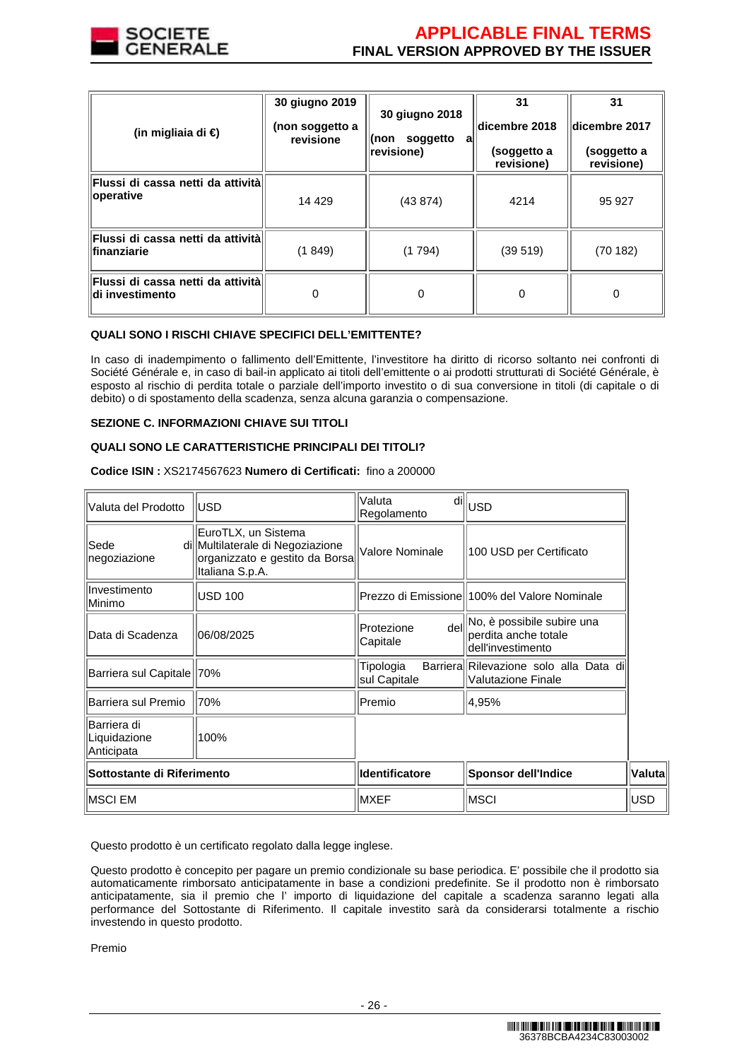

| (in migliaia di €)                                             | 30 giugno 2019<br>(non soggetto a<br>revisione | 30 giugno 2018<br>soggetto<br>∣(non<br>al<br>revisione) | 31<br>dicembre 2018<br>(soggetto a<br>revisione) | 31<br>dicembre 2017<br>(soggetto a<br>revisione) |
|----------------------------------------------------------------|------------------------------------------------|---------------------------------------------------------|--------------------------------------------------|--------------------------------------------------|
| Flussi di cassa netti da attività<br>operative                 | 14 4 29                                        | (43 874)                                                | 4214                                             | 95 927                                           |
| <b>Flussi di cassa netti da attività</b> l<br>lfinanziarie     | (1849)                                         | (1794)                                                  | (39519)                                          | (70182)                                          |
| <b> Flussi di cassa netti da attività </b><br>ldi investimento | 0                                              | 0                                                       | 0                                                | 0                                                |

#### **QUALI SONO I RISCHI CHIAVE SPECIFICI DELL'EMITTENTE?**

In caso di inadempimento o fallimento dell'Emittente, l'investitore ha diritto di ricorso soltanto nei confronti di Société Générale e, in caso di bail-in applicato ai titoli dell'emittente o ai prodotti strutturati di Société Générale, è esposto al rischio di perdita totale o parziale dell'importo investito o di sua conversione in titoli (di capitale o di debito) o di spostamento della scadenza, senza alcuna garanzia o compensazione.

# **SEZIONE C. INFORMAZIONI CHIAVE SUI TITOLI**

# **QUALI SONO LE CARATTERISTICHE PRINCIPALI DEI TITOLI?**

**Codice ISIN :** XS2174567623 **Numero di Certificati:** fino a 200000

| Valuta del Prodotto                       | lusd                                                                                                         | Valuta<br>dil<br>Regolamento   | <b>USD</b>                                                              |            |
|-------------------------------------------|--------------------------------------------------------------------------------------------------------------|--------------------------------|-------------------------------------------------------------------------|------------|
| Sede<br>negoziazione                      | EuroTLX, un Sistema<br>di Multilaterale di Negoziazione<br>organizzato e gestito da Borsa<br>Italiana S.p.A. | Valore Nominale                | 100 USD per Certificato                                                 |            |
| Investimento<br>Minimo                    | <b>USD 100</b>                                                                                               |                                | Prezzo di Emissione 100% del Valore Nominale                            |            |
| Data di Scadenza                          | 06/08/2025                                                                                                   | dell<br>Protezione<br>Capitale | No, è possibile subire una<br>perdita anche totale<br>dell'investimento |            |
| Barriera sul Capitale   70%               |                                                                                                              | Tipologia<br>sul Capitale      | Barriera Rilevazione solo alla Data di<br><b>Valutazione Finale</b>     |            |
| Barriera sul Premio                       | 70%                                                                                                          | Premio                         | 4,95%                                                                   |            |
| Barriera di<br>Liquidazione<br>Anticipata | 100%                                                                                                         |                                |                                                                         |            |
| Sottostante di Riferimento                |                                                                                                              | <b>Identificatore</b>          | <b>Sponsor dell'Indice</b>                                              | Valuta     |
| <b>MSCI EM</b>                            |                                                                                                              | <b>MXEF</b>                    | <b>MSCI</b>                                                             | <b>USD</b> |

Questo prodotto è un certificato regolato dalla legge inglese.

Questo prodotto è concepito per pagare un premio condizionale su base periodica. E' possibile che il prodotto sia automaticamente rimborsato anticipatamente in base a condizioni predefinite. Se il prodotto non è rimborsato anticipatamente, sia il premio che l' importo di liquidazione del capitale a scadenza saranno legati alla performance del Sottostante di Riferimento. Il capitale investito sarà da considerarsi totalmente a rischio investendo in questo prodotto.

Premio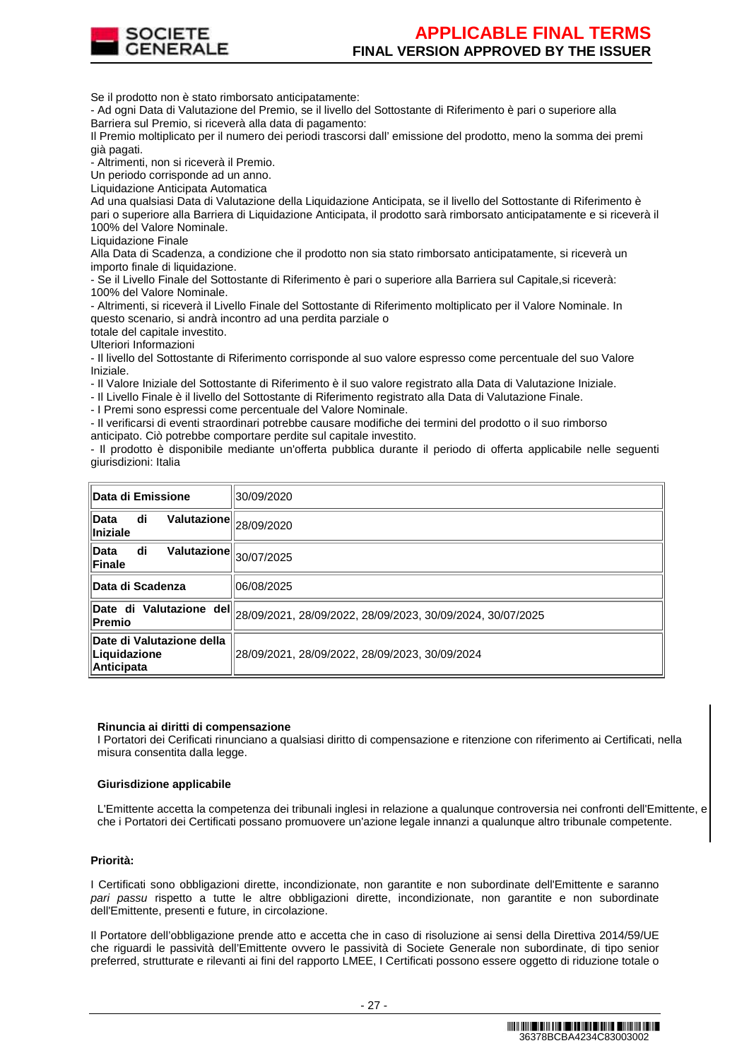

Se il prodotto non è stato rimborsato anticipatamente:

- Ad ogni Data di Valutazione del Premio, se il livello del Sottostante di Riferimento è pari o superiore alla Barriera sul Premio, si riceverà alla data di pagamento:

Il Premio moltiplicato per il numero dei periodi trascorsi dall' emissione del prodotto, meno la somma dei premi già pagati.

- Altrimenti, non si riceverà il Premio.

Un periodo corrisponde ad un anno.

Liquidazione Anticipata Automatica

Ad una qualsiasi Data di Valutazione della Liquidazione Anticipata, se il livello del Sottostante di Riferimento è pari o superiore alla Barriera di Liquidazione Anticipata, il prodotto sarà rimborsato anticipatamente e si riceverà il 100% del Valore Nominale.

Liquidazione Finale

Alla Data di Scadenza, a condizione che il prodotto non sia stato rimborsato anticipatamente, si riceverà un importo finale di liquidazione.

- Se il Livello Finale del Sottostante di Riferimento è pari o superiore alla Barriera sul Capitale,si riceverà: 100% del Valore Nominale.

- Altrimenti, si riceverà il Livello Finale del Sottostante di Riferimento moltiplicato per il Valore Nominale. In questo scenario, si andrà incontro ad una perdita parziale o

totale del capitale investito.

Ulteriori Informazioni

- Il livello del Sottostante di Riferimento corrisponde al suo valore espresso come percentuale del suo Valore Iniziale.

- Il Valore Iniziale del Sottostante di Riferimento è il suo valore registrato alla Data di Valutazione Iniziale.

- Il Livello Finale è il livello del Sottostante di Riferimento registrato alla Data di Valutazione Finale.

- I Premi sono espressi come percentuale del Valore Nominale.

- Il verificarsi di eventi straordinari potrebbe causare modifiche dei termini del prodotto o il suo rimborso anticipato. Ciò potrebbe comportare perdite sul capitale investito.

- Il prodotto è disponibile mediante un'offerta pubblica durante il periodo di offerta applicabile nelle seguenti giurisdizioni: Italia

| Data di Emissione                                                        | 30/09/2020                                                                                                |  |  |
|--------------------------------------------------------------------------|-----------------------------------------------------------------------------------------------------------|--|--|
| $\overline{\text{Valutazione}}\ _{28/09/2020}$<br>di<br>Data<br>Iniziale |                                                                                                           |  |  |
| di<br>$\overline{\text{Valutazione}}\ _{30/07/2025}$<br>Data<br>Finale   |                                                                                                           |  |  |
| Data di Scadenza                                                         | 06/08/2025                                                                                                |  |  |
|                                                                          | Date di Valutazione del $\parallel$ <sub>28/09/2021, 28/09/2022, 28/09/2023, 30/09/2024, 30/07/2025</sub> |  |  |
| Date di Valutazione della<br>Liquidazione<br><b>Anticipata</b>           | 28/09/2021, 28/09/2022, 28/09/2023, 30/09/2024                                                            |  |  |

#### **Rinuncia ai diritti di compensazione**

I Portatori dei Cerificati rinunciano a qualsiasi diritto di compensazione e ritenzione con riferimento ai Certificati, nella misura consentita dalla legge.

#### **Giurisdizione applicabile**

L'Emittente accetta la competenza dei tribunali inglesi in relazione a qualunque controversia nei confronti dell'Emittente, e che i Portatori dei Certificati possano promuovere un'azione legale innanzi a qualunque altro tribunale competente.

#### **Priorità:**

I Certificati sono obbligazioni dirette, incondizionate, non garantite e non subordinate dell'Emittente e saranno pari passu rispetto a tutte le altre obbligazioni dirette, incondizionate, non garantite e non subordinate dell'Emittente, presenti e future, in circolazione.

Il Portatore dell'obbligazione prende atto e accetta che in caso di risoluzione ai sensi della Direttiva 2014/59/UE che riguardi le passività dell'Emittente ovvero le passività di Societe Generale non subordinate, di tipo senior preferred, strutturate e rilevanti ai fini del rapporto LMEE, I Certificati possono essere oggetto di riduzione totale o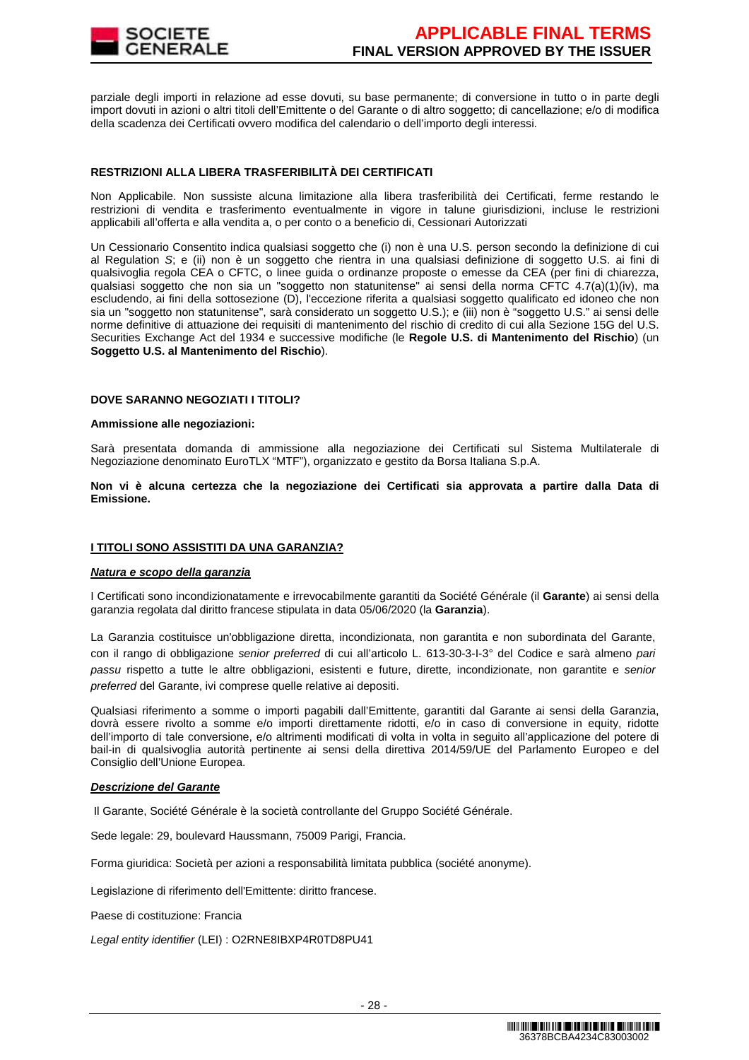

parziale degli importi in relazione ad esse dovuti, su base permanente; di conversione in tutto o in parte degli import dovuti in azioni o altri titoli dell'Emittente o del Garante o di altro soggetto; di cancellazione; e/o di modifica della scadenza dei Certificati ovvero modifica del calendario o dell'importo degli interessi.

#### **RESTRIZIONI ALLA LIBERA TRASFERIBILITÀ DEI CERTIFICATI**

Non Applicabile. Non sussiste alcuna limitazione alla libera trasferibilità dei Certificati, ferme restando le restrizioni di vendita e trasferimento eventualmente in vigore in talune giurisdizioni, incluse le restrizioni applicabili all'offerta e alla vendita a, o per conto o a beneficio di, Cessionari Autorizzati

Un Cessionario Consentito indica qualsiasi soggetto che (i) non è una U.S. person secondo la definizione di cui al Regulation S; e (ii) non è un soggetto che rientra in una qualsiasi definizione di soggetto U.S. ai fini di qualsivoglia regola CEA o CFTC, o linee guida o ordinanze proposte o emesse da CEA (per fini di chiarezza, qualsiasi soggetto che non sia un "soggetto non statunitense" ai sensi della norma CFTC 4.7(a)(1)(iv), ma escludendo, ai fini della sottosezione (D), l'eccezione riferita a qualsiasi soggetto qualificato ed idoneo che non sia un "soggetto non statunitense", sarà considerato un soggetto U.S.); e (iii) non è "soggetto U.S." ai sensi delle norme definitive di attuazione dei requisiti di mantenimento del rischio di credito di cui alla Sezione 15G del U.S. Securities Exchange Act del 1934 e successive modifiche (le **Regole U.S. di Mantenimento del Rischio**) (un **Soggetto U.S. al Mantenimento del Rischio**).

#### **DOVE SARANNO NEGOZIATI I TITOLI?**

#### **Ammissione alle negoziazioni:**

Sarà presentata domanda di ammissione alla negoziazione dei Certificati sul Sistema Multilaterale di Negoziazione denominato EuroTLX "MTF"), organizzato e gestito da Borsa Italiana S.p.A.

**Non vi è alcuna certezza che la negoziazione dei Certificati sia approvata a partire dalla Data di Emissione.**

#### **I TITOLI SONO ASSISTITI DA UNA GARANZIA?**

#### **Natura e scopo della garanzia**

I Certificati sono incondizionatamente e irrevocabilmente garantiti da Société Générale (il **Garante**) ai sensi della garanzia regolata dal diritto francese stipulata in data 05/06/2020 (la **Garanzia**).

La Garanzia costituisce un'obbligazione diretta, incondizionata, non garantita e non subordinata del Garante, con il rango di obbligazione senior preferred di cui all'articolo L. 613-30-3-I-3° del Codice e sarà almeno pari passu rispetto a tutte le altre obbligazioni, esistenti e future, dirette, incondizionate, non garantite e senior preferred del Garante, ivi comprese quelle relative ai depositi.

Qualsiasi riferimento a somme o importi pagabili dall'Emittente, garantiti dal Garante ai sensi della Garanzia, dovrà essere rivolto a somme e/o importi direttamente ridotti, e/o in caso di conversione in equity, ridotte dell'importo di tale conversione, e/o altrimenti modificati di volta in volta in seguito all'applicazione del potere di bail-in di qualsivoglia autorità pertinente ai sensi della direttiva 2014/59/UE del Parlamento Europeo e del Consiglio dell'Unione Europea.

#### **Descrizione del Garante**

Il Garante, Société Générale è la società controllante del Gruppo Société Générale.

Sede legale: 29, boulevard Haussmann, 75009 Parigi, Francia.

Forma giuridica: Società per azioni a responsabilità limitata pubblica (société anonyme).

Legislazione di riferimento dell'Emittente: diritto francese.

Paese di costituzione: Francia

Legal entity identifier (LEI) : O2RNE8IBXP4R0TD8PU41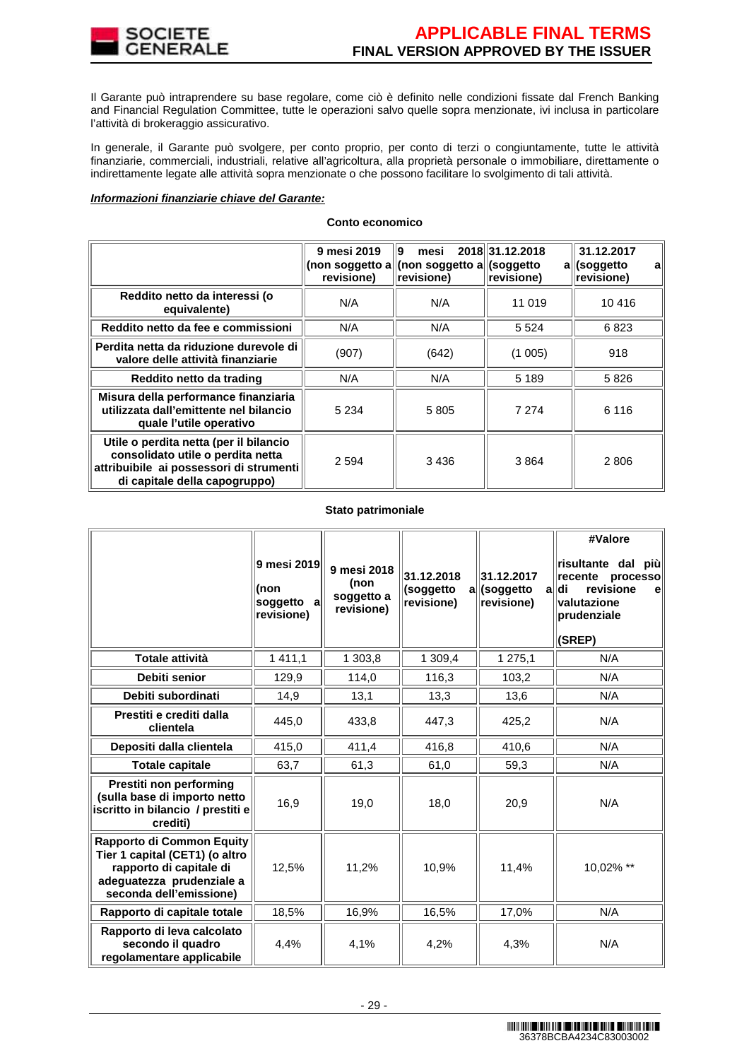

Il Garante può intraprendere su base regolare, come ciò è definito nelle condizioni fissate dal French Banking and Financial Regulation Committee, tutte le operazioni salvo quelle sopra menzionate, ivi inclusa in particolare l'attività di brokeraggio assicurativo.

In generale, il Garante può svolgere, per conto proprio, per conto di terzi o congiuntamente, tutte le attività finanziarie, commerciali, industriali, relative all'agricoltura, alla proprietà personale o immobiliare, direttamente o indirettamente legate alle attività sopra menzionate o che possono facilitare lo svolgimento di tali attività.

#### **Informazioni finanziarie chiave del Garante:**

|                                                                                                                                                         | 9 mesi 2019<br>(non soggetto a <br>revisione) | 19<br>mesi<br>$\vert$ (non soggetto a $\vert$ (soggetto<br>revisione) | 2018 31.12.2018<br>revisione) | 31.12.2017<br>all(soggetto<br>а<br>revisione) |
|---------------------------------------------------------------------------------------------------------------------------------------------------------|-----------------------------------------------|-----------------------------------------------------------------------|-------------------------------|-----------------------------------------------|
| Reddito netto da interessi (o<br>equivalente)                                                                                                           | N/A                                           | N/A                                                                   | 11 019                        | 10416                                         |
| Reddito netto da fee e commissioni                                                                                                                      | N/A                                           | N/A                                                                   | 5 5 2 4                       | 6823                                          |
| Perdita netta da riduzione durevole di<br>valore delle attività finanziarie                                                                             | (907)                                         | (642)                                                                 | (1005)                        | 918                                           |
| Reddito netto da trading                                                                                                                                | N/A                                           | N/A                                                                   | 5 1 8 9                       | 5826                                          |
| Misura della performance finanziaria<br>utilizzata dall'emittente nel bilancio<br>quale l'utile operativo                                               | 5 2 3 4                                       | 5805                                                                  | 7 2 7 4                       | 6 1 1 6                                       |
| Utile o perdita netta (per il bilancio<br>consolidato utile o perdita netta<br>attribuibile ai possessori di strumenti<br>di capitale della capogruppo) | 2 5 9 4                                       | 3436                                                                  | 3864                          | 2806                                          |

#### **Conto economico**

#### **Stato patrimoniale**

|                                                                                                                                                | 9 mesi 2019<br>(non<br>soggetto<br>al<br>revisione) | 9 mesi 2018<br>(non<br>soggetto a<br>revisione) | 31.12.2018<br>(soggetto<br>revisione) | 31.12.2017<br>all(soggetto<br>al<br>revisione) | #Valore<br>∣risultante dal<br>più<br>recente<br>processo<br>revisione<br>ldi<br>el<br>valutazione<br>prudenziale<br>(SREP) |
|------------------------------------------------------------------------------------------------------------------------------------------------|-----------------------------------------------------|-------------------------------------------------|---------------------------------------|------------------------------------------------|----------------------------------------------------------------------------------------------------------------------------|
| <b>Totale attività</b>                                                                                                                         | 1411,1                                              | 1 303,8                                         | 1 309,4                               | 1 275,1                                        | N/A                                                                                                                        |
| Debiti senior                                                                                                                                  | 129,9                                               | 114,0                                           | 116,3                                 | 103,2                                          | N/A                                                                                                                        |
| Debiti subordinati                                                                                                                             | 14,9                                                | 13,1                                            | 13,3                                  | 13,6                                           | N/A                                                                                                                        |
| Prestiti e crediti dalla<br>clientela                                                                                                          | 445,0                                               | 433,8                                           | 447,3                                 | 425,2                                          | N/A                                                                                                                        |
| Depositi dalla clientela                                                                                                                       | 415,0                                               | 411,4                                           | 416,8                                 | 410,6                                          | N/A                                                                                                                        |
| <b>Totale capitale</b>                                                                                                                         | 63,7                                                | 61,3                                            | 61,0                                  | 59,3                                           | N/A                                                                                                                        |
| Prestiti non performing<br>(sulla base di importo netto<br>iscritto in bilancio / prestiti e<br>crediti)                                       | 16,9                                                | 19,0                                            | 18,0                                  | 20,9                                           | N/A                                                                                                                        |
| Rapporto di Common Equity<br>Tier 1 capital (CET1) (o altro<br>rapporto di capitale di<br>adeguatezza prudenziale a<br>seconda dell'emissione) | 12,5%                                               | 11,2%                                           | 10,9%                                 | 11,4%                                          | 10,02% **                                                                                                                  |
| Rapporto di capitale totale                                                                                                                    | 18,5%                                               | 16,9%                                           | 16,5%                                 | 17,0%                                          | N/A                                                                                                                        |
| Rapporto di leva calcolato<br>secondo il quadro<br>regolamentare applicabile                                                                   | 4,4%                                                | 4,1%                                            | 4,2%                                  | 4,3%                                           | N/A                                                                                                                        |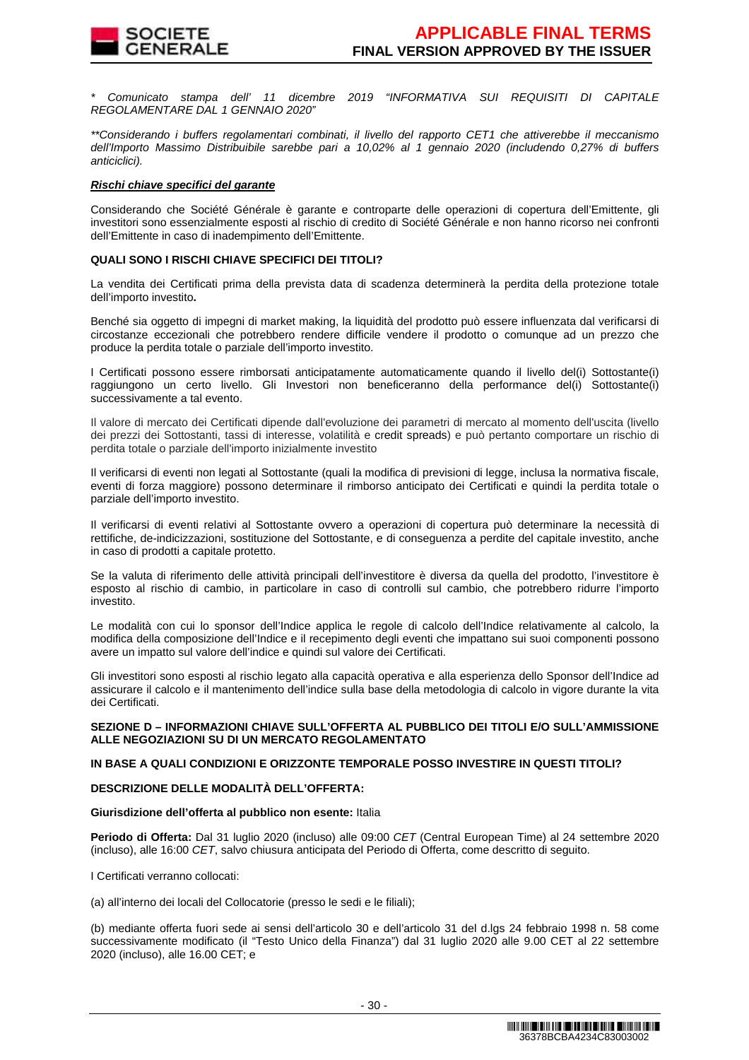

\* Comunicato stampa dell' 11 dicembre 2019 "INFORMATIVA SUI REQUISITI DI CAPITALE REGOLAMENTARE DAL 1 GENNAIO 2020"

\*\*Considerando i buffers regolamentari combinati, il livello del rapporto CET1 che attiverebbe il meccanismo dell'Importo Massimo Distribuibile sarebbe pari a 10,02% al 1 gennaio 2020 (includendo 0,27% di buffers anticiclici).

# **Rischi chiave specifici del garante**

Considerando che Société Générale è garante e controparte delle operazioni di copertura dell'Emittente, gli investitori sono essenzialmente esposti al rischio di credito di Société Générale e non hanno ricorso nei confronti dell'Emittente in caso di inadempimento dell'Emittente.

#### **QUALI SONO I RISCHI CHIAVE SPECIFICI DEI TITOLI?**

La vendita dei Certificati prima della prevista data di scadenza determinerà la perdita della protezione totale dell'importo investito**.**

Benché sia oggetto di impegni di market making, la liquidità del prodotto può essere influenzata dal verificarsi di circostanze eccezionali che potrebbero rendere difficile vendere il prodotto o comunque ad un prezzo che produce la perdita totale o parziale dell'importo investito.

I Certificati possono essere rimborsati anticipatamente automaticamente quando il livello del(i) Sottostante(i) raggiungono un certo livello. Gli Investori non beneficeranno della performance del(i) Sottostante(i) successivamente a tal evento.

Il valore di mercato dei Certificati dipende dall'evoluzione dei parametri di mercato al momento dell'uscita (livello dei prezzi dei Sottostanti, tassi di interesse, volatilità e credit spreads) e può pertanto comportare un rischio di perdita totale o parziale dell'importo inizialmente investito

Il verificarsi di eventi non legati al Sottostante (quali la modifica di previsioni di legge, inclusa la normativa fiscale, eventi di forza maggiore) possono determinare il rimborso anticipato dei Certificati e quindi la perdita totale o parziale dell'importo investito.

Il verificarsi di eventi relativi al Sottostante ovvero a operazioni di copertura può determinare la necessità di rettifiche, de-indicizzazioni, sostituzione del Sottostante, e di conseguenza a perdite del capitale investito, anche in caso di prodotti a capitale protetto.

Se la valuta di riferimento delle attività principali dell'investitore è diversa da quella del prodotto, l'investitore è esposto al rischio di cambio, in particolare in caso di controlli sul cambio, che potrebbero ridurre l'importo investito.

Le modalità con cui lo sponsor dell'Indice applica le regole di calcolo dell'Indice relativamente al calcolo, la modifica della composizione dell'Indice e il recepimento degli eventi che impattano sui suoi componenti possono avere un impatto sul valore dell'indice e quindi sul valore dei Certificati.

Gli investitori sono esposti al rischio legato alla capacità operativa e alla esperienza dello Sponsor dell'Indice ad assicurare il calcolo e il mantenimento dell'indice sulla base della metodologia di calcolo in vigore durante la vita dei Certificati.

#### **SEZIONE D – INFORMAZIONI CHIAVE SULL'OFFERTA AL PUBBLICO DEI TITOLI E/O SULL'AMMISSIONE ALLE NEGOZIAZIONI SU DI UN MERCATO REGOLAMENTATO**

# **IN BASE A QUALI CONDIZIONI E ORIZZONTE TEMPORALE POSSO INVESTIRE IN QUESTI TITOLI?**

# **DESCRIZIONE DELLE MODALITÀ DELL'OFFERTA:**

#### **Giurisdizione dell'offerta al pubblico non esente:** Italia

**Periodo di Offerta:** Dal 31 luglio 2020 (incluso) alle 09:00 CET (Central European Time) al 24 settembre 2020 (incluso), alle 16:00 CET, salvo chiusura anticipata del Periodo di Offerta, come descritto di seguito.

I Certificati verranno collocati:

(a) all'interno dei locali del Collocatorie (presso le sedi e le filiali);

(b) mediante offerta fuori sede ai sensi dell'articolo 30 e dell'articolo 31 del d.lgs 24 febbraio 1998 n. 58 come successivamente modificato (il "Testo Unico della Finanza") dal 31 luglio 2020 alle 9.00 CET al 22 settembre 2020 (incluso), alle 16.00 CET; e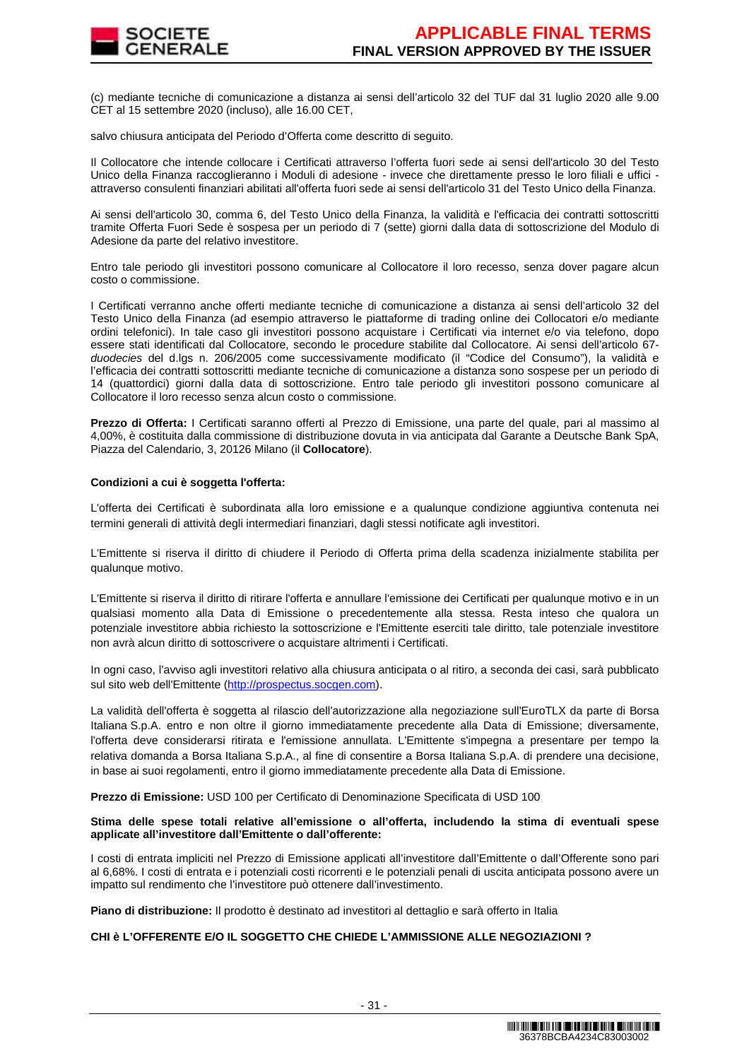

(c) mediante tecniche di comunicazione a distanza ai sensi dell'articolo 32 del TUF dal 31 luglio 2020 alle 9.00 CET al 15 settembre 2020 (incluso), alle 16.00 CET,

salvo chiusura anticipata del Periodo d'Offerta come descritto di seguito.

Il Collocatore che intende collocare i Certificati attraverso l'offerta fuori sede ai sensi dell'articolo 30 del Testo Unico della Finanza raccoglieranno i Moduli di adesione - invece che direttamente presso le loro filiali e uffici attraverso consulenti finanziari abilitati all'offerta fuori sede ai sensi dell'articolo 31 del Testo Unico della Finanza.

Ai sensi dell'articolo 30, comma 6, del Testo Unico della Finanza, la validità e l'efficacia dei contratti sottoscritti tramite Offerta Fuori Sede è sospesa per un periodo di 7 (sette) giorni dalla data di sottoscrizione del Modulo di Adesione da parte del relativo investitore.

Entro tale periodo gli investitori possono comunicare al Collocatore il loro recesso, senza dover pagare alcun costo o commissione.

I Certificati verranno anche offerti mediante tecniche di comunicazione a distanza ai sensi dell'articolo 32 del Testo Unico della Finanza (ad esempio attraverso le piattaforme di trading online dei Collocatori e/o mediante ordini telefonici). In tale caso gli investitori possono acquistare i Certificati via internet e/o via telefono, dopo essere stati identificati dal Collocatore, secondo le procedure stabilite dal Collocatore. Ai sensi dell'articolo 67 duodecies del d.lgs n. 206/2005 come successivamente modificato (il "Codice del Consumo"), la validità e l'efficacia dei contratti sottoscritti mediante tecniche di comunicazione a distanza sono sospese per un periodo di 14 (quattordici) giorni dalla data di sottoscrizione. Entro tale periodo gli investitori possono comunicare al Collocatore il loro recesso senza alcun costo o commissione.

**Prezzo di Offerta:** I Certificati saranno offerti al Prezzo di Emissione, una parte del quale, pari al massimo al 4,00%, è costituita dalla commissione di distribuzione dovuta in via anticipata dal Garante a Deutsche Bank SpA, Piazza del Calendario, 3, 20126 Milano (il **Collocatore**).

#### **Condizioni a cui è soggetta l'offerta:**

L'offerta dei Certificati è subordinata alla loro emissione e a qualunque condizione aggiuntiva contenuta nei termini generali di attività degli intermediari finanziari, dagli stessi notificate agli investitori.

L'Emittente si riserva il diritto di chiudere il Periodo di Offerta prima della scadenza inizialmente stabilita per qualunque motivo.

L'Emittente si riserva il diritto di ritirare l'offerta e annullare l'emissione dei Certificati per qualunque motivo e in un qualsiasi momento alla Data di Emissione o precedentemente alla stessa. Resta inteso che qualora un potenziale investitore abbia richiesto la sottoscrizione e l'Emittente eserciti tale diritto, tale potenziale investitore non avrà alcun diritto di sottoscrivere o acquistare altrimenti i Certificati.

In ogni caso, l'avviso agli investitori relativo alla chiusura anticipata o al ritiro, a seconda dei casi, sarà pubblicato sul sito web dell'Emittente (http://prospectus.socgen.com).

La validità dell'offerta è soggetta al rilascio dell'autorizzazione alla negoziazione sull'EuroTLX da parte di Borsa Italiana S.p.A. entro e non oltre il giorno immediatamente precedente alla Data di Emissione; diversamente, l'offerta deve considerarsi ritirata e l'emissione annullata. L'Emittente s'impegna a presentare per tempo la relativa domanda a Borsa Italiana S.p.A., al fine di consentire a Borsa Italiana S.p.A. di prendere una decisione, in base ai suoi regolamenti, entro il giorno immediatamente precedente alla Data di Emissione.

**Prezzo di Emissione:** USD 100 per Certificato di Denominazione Specificata di USD 100

# **Stima delle spese totali relative all'emissione o all'offerta, includendo la stima di eventuali spese applicate all'investitore dall'Emittente o dall'offerente:**

I costi di entrata impliciti nel Prezzo di Emissione applicati all'investitore dall'Emittente o dall'Offerente sono pari al 6,68%. I costi di entrata e i potenziali costi ricorrenti e le potenziali penali di uscita anticipata possono avere un impatto sul rendimento che l'investitore può ottenere dall'investimento.

**Piano di distribuzione:** Il prodotto è destinato ad investitori al dettaglio e sarà offerto in Italia

# **CHI è L'OFFERENTE E/O IL SOGGETTO CHE CHIEDE L'AMMISSIONE ALLE NEGOZIAZIONI ?**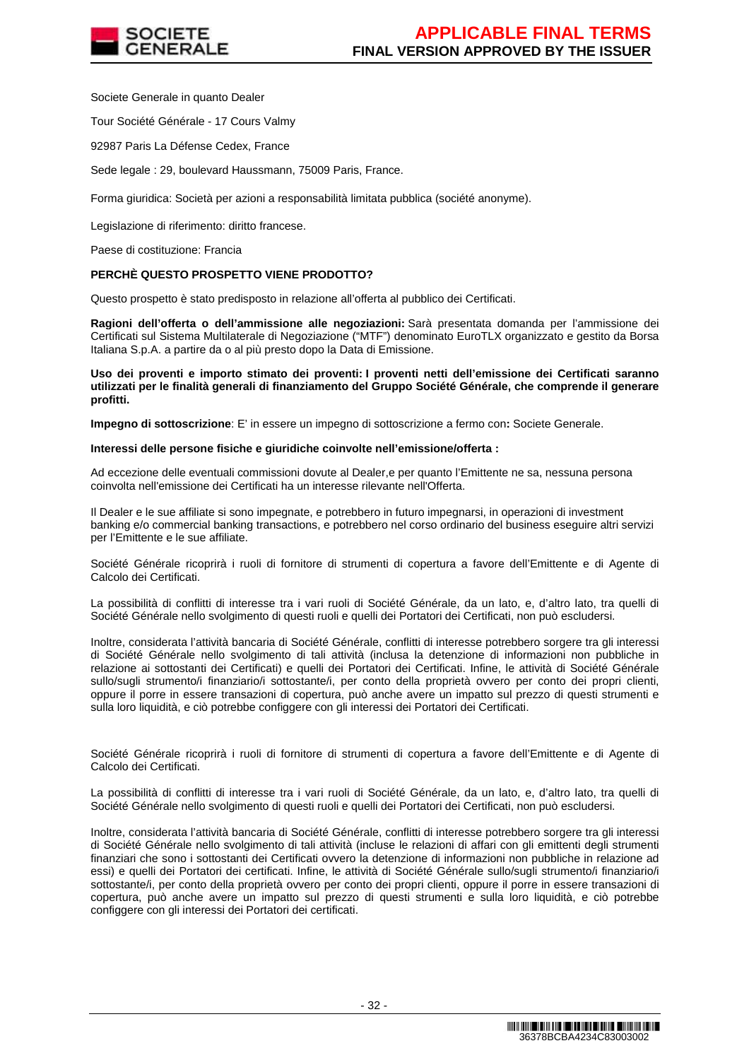

Societe Generale in quanto Dealer

Tour Société Générale - 17 Cours Valmy

92987 Paris La Défense Cedex, France

Sede legale : 29, boulevard Haussmann, 75009 Paris, France.

Forma giuridica: Società per azioni a responsabilità limitata pubblica (société anonyme).

Legislazione di riferimento: diritto francese.

Paese di costituzione: Francia

#### **PERCHÈ QUESTO PROSPETTO VIENE PRODOTTO?**

Questo prospetto è stato predisposto in relazione all'offerta al pubblico dei Certificati.

**Ragioni dell'offerta o dell'ammissione alle negoziazioni:** Sarà presentata domanda per l'ammissione dei Certificati sul Sistema Multilaterale di Negoziazione ("MTF") denominato EuroTLX organizzato e gestito da Borsa Italiana S.p.A. a partire da o al più presto dopo la Data di Emissione.

**Uso dei proventi e importo stimato dei proventi: I proventi netti dell'emissione dei Certificati saranno utilizzati per le finalità generali di finanziamento del Gruppo Société Générale, che comprende il generare profitti.** 

**Impegno di sottoscrizione**: E' in essere un impegno di sottoscrizione a fermo con**:** Societe Generale.

#### **Interessi delle persone fisiche e giuridiche coinvolte nell'emissione/offerta :**

Ad eccezione delle eventuali commissioni dovute al Dealer,e per quanto l'Emittente ne sa, nessuna persona coinvolta nell'emissione dei Certificati ha un interesse rilevante nell'Offerta.

Il Dealer e le sue affiliate si sono impegnate, e potrebbero in futuro impegnarsi, in operazioni di investment banking e/o commercial banking transactions, e potrebbero nel corso ordinario del business eseguire altri servizi per l'Emittente e le sue affiliate.

Société Générale ricoprirà i ruoli di fornitore di strumenti di copertura a favore dell'Emittente e di Agente di Calcolo dei Certificati.

La possibilità di conflitti di interesse tra i vari ruoli di Société Générale, da un lato, e, d'altro lato, tra quelli di Société Générale nello svolgimento di questi ruoli e quelli dei Portatori dei Certificati, non può escludersi.

Inoltre, considerata l'attività bancaria di Société Générale, conflitti di interesse potrebbero sorgere tra gli interessi di Société Générale nello svolgimento di tali attività (inclusa la detenzione di informazioni non pubbliche in relazione ai sottostanti dei Certificati) e quelli dei Portatori dei Certificati. Infine, le attività di Société Générale sullo/sugli strumento/i finanziario/i sottostante/i, per conto della proprietà ovvero per conto dei propri clienti, oppure il porre in essere transazioni di copertura, può anche avere un impatto sul prezzo di questi strumenti e sulla loro liquidità, e ciò potrebbe configgere con gli interessi dei Portatori dei Certificati.

Société Générale ricoprirà i ruoli di fornitore di strumenti di copertura a favore dell'Emittente e di Agente di Calcolo dei Certificati.

La possibilità di conflitti di interesse tra i vari ruoli di Société Générale, da un lato, e, d'altro lato, tra quelli di Société Générale nello svolgimento di questi ruoli e quelli dei Portatori dei Certificati, non può escludersi.

Inoltre, considerata l'attività bancaria di Société Générale, conflitti di interesse potrebbero sorgere tra gli interessi di Société Générale nello svolgimento di tali attività (incluse le relazioni di affari con gli emittenti degli strumenti finanziari che sono i sottostanti dei Certificati ovvero la detenzione di informazioni non pubbliche in relazione ad essi) e quelli dei Portatori dei certificati. Infine, le attività di Société Générale sullo/sugli strumento/i finanziario/i sottostante/i, per conto della proprietà ovvero per conto dei propri clienti, oppure il porre in essere transazioni di copertura, può anche avere un impatto sul prezzo di questi strumenti e sulla loro liquidità, e ciò potrebbe configgere con gli interessi dei Portatori dei certificati.